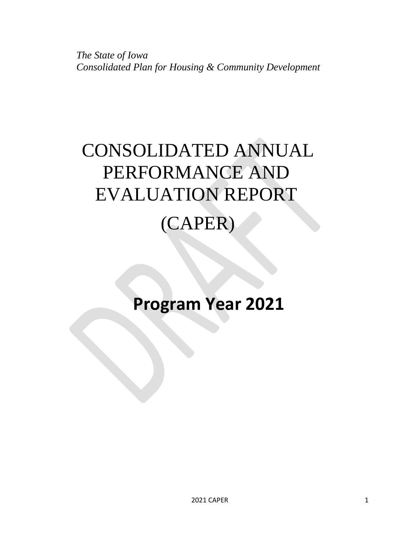*The State of Iowa Consolidated Plan for Housing & Community Development*

# CONSOLIDATED ANNUAL PERFORMANCE AND EVALUATION REPORT (CAPER)

# **Program Year 2021**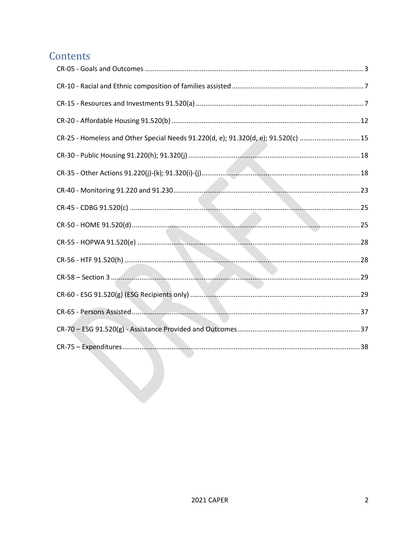# Contents

| CR-25 - Homeless and Other Special Needs 91.220(d, e); 91.320(d, e); 91.520(c)  15 |  |
|------------------------------------------------------------------------------------|--|
|                                                                                    |  |
|                                                                                    |  |
|                                                                                    |  |
|                                                                                    |  |
|                                                                                    |  |
|                                                                                    |  |
|                                                                                    |  |
| CR-58 – Section 3                                                                  |  |
|                                                                                    |  |
|                                                                                    |  |
|                                                                                    |  |
|                                                                                    |  |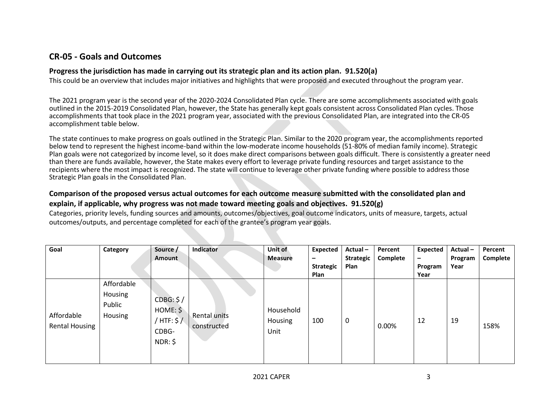## **CR-05 - Goals and Outcomes**

## **Progress the jurisdiction has made in carrying out its strategic plan and its action plan. 91.520(a)**

This could be an overview that includes major initiatives and highlights that were proposed and executed throughout the program year.

The 2021 program year is the second year of the 2020-2024 Consolidated Plan cycle. There are some accomplishments associated with goals outlined in the 2015-2019 Consolidated Plan, however, the State has generally kept goals consistent across Consolidated Plan cycles. Those accomplishments that took place in the 2021 program year, associated with the previous Consolidated Plan, are integrated into the CR-05 accomplishment table below.

The state continues to make progress on goals outlined in the Strategic Plan. Similar to the 2020 program year, the accomplishments reported below tend to represent the highest income-band within the low-moderate income households (51-80% of median family income). Strategic Plan goals were not categorized by income level, so it does make direct comparisons between goals difficult. There is consistently a greater need than there are funds available, however, the State makes every effort to leverage private funding resources and target assistance to the recipients where the most impact is recognized. The state will continue to leverage other private funding where possible to address those Strategic Plan goals in the Consolidated Plan.

## <span id="page-2-0"></span>**Comparison of the proposed versus actual outcomes for each outcome measure submitted with the consolidated plan and explain, if applicable, why progress was not made toward meeting goals and objectives. 91.520(g)**

Categories, priority levels, funding sources and amounts, outcomes/objectives, goal outcome indicators, units of measure, targets, actual outcomes/outputs, and percentage completed for each of the grantee's program year goals.

| Goal                                | Category                                   | Source /<br>Amount                                       | Indicator                   | Unit of<br><b>Measure</b>    | <b>Expected</b><br>-<br><b>Strategic</b><br>Plan | Actual-<br><b>Strategic</b><br>Plan | Percent<br>Complete | <b>Expected</b><br>$\overline{\phantom{m}}$<br>Program<br>Year | Actual-<br>Program<br>Year | Percent<br>Complete |
|-------------------------------------|--------------------------------------------|----------------------------------------------------------|-----------------------------|------------------------------|--------------------------------------------------|-------------------------------------|---------------------|----------------------------------------------------------------|----------------------------|---------------------|
| Affordable<br><b>Rental Housing</b> | Affordable<br>Housing<br>Public<br>Housing | CDBG: \$/<br>HOME: \$<br>/ HTF: $$/$<br>CDBG-<br>NDR: \$ | Rental units<br>constructed | Household<br>Housing<br>Unit | 100                                              | 0                                   | 0.00%               | 12                                                             | 19                         | 158%                |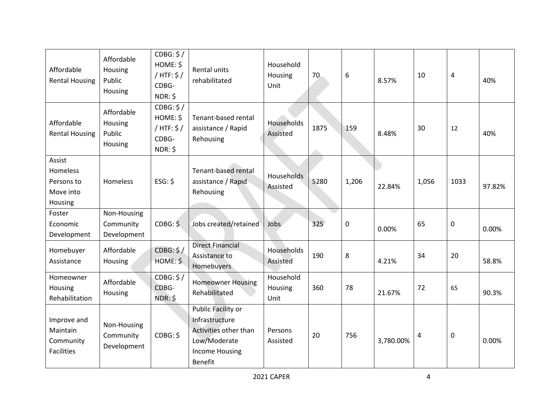| Affordable<br><b>Rental Housing</b>                       | Affordable<br>Housing<br>Public<br>Housing | CDBG: \$/<br>HOME: \$<br>/ HTF: $$/$<br>CDBG-<br>NDR: \$ | Rental units<br>rehabilitated                                                                                            | Household<br>Housing<br>Unit | 70   | 6     | 8.57%     | 10    | 4           | 40%    |
|-----------------------------------------------------------|--------------------------------------------|----------------------------------------------------------|--------------------------------------------------------------------------------------------------------------------------|------------------------------|------|-------|-----------|-------|-------------|--------|
| Affordable<br><b>Rental Housing</b>                       | Affordable<br>Housing<br>Public<br>Housing | CDBG: \$/<br>HOME: \$<br>/ HTF: $$/$<br>CDBG-<br>NDR: \$ | Tenant-based rental<br>assistance / Rapid<br>Rehousing                                                                   | Households<br>Assisted       | 1875 | 159   | 8.48%     | 30    | 12          | 40%    |
| Assist<br>Homeless<br>Persons to<br>Move into<br>Housing  | Homeless                                   | $ESG:$ \$                                                | Tenant-based rental<br>assistance / Rapid<br>Rehousing                                                                   | Households<br>Assisted       | 5280 | 1,206 | 22.84%    | 1,056 | 1033        | 97.82% |
| Foster<br>Economic<br>Development                         | Non-Housing<br>Community<br>Development    | CDBG: \$                                                 | Jobs created/retained                                                                                                    | Jobs                         | 325  | 0     | 0.00%     | 65    | $\mathbf 0$ | 0.00%  |
| Homebuyer<br>Assistance                                   | Affordable<br>Housing                      | CDBG: \$/<br>HOME: \$                                    | <b>Direct Financial</b><br>Assistance to<br>Homebuyers                                                                   | Households<br>Assisted       | 190  | 8     | 4.21%     | 34    | 20          | 58.8%  |
| Homeowner<br>Housing<br>Rehabilitation                    | Affordable<br>Housing                      | CDBG: \$/<br>CDBG-<br>NDR: \$                            | <b>Homeowner Housing</b><br>Rehabilitated                                                                                | Household<br>Housing<br>Unit | 360  | 78    | 21.67%    | 72    | 65          | 90.3%  |
| Improve and<br>Maintain<br>Community<br><b>Facilities</b> | Non-Housing<br>Community<br>Development    | CDBG: \$                                                 | Public Facility or<br>Infrastructure<br>Activities other than<br>Low/Moderate<br><b>Income Housing</b><br><b>Benefit</b> | Persons<br>Assisted          | 20   | 756   | 3,780.00% | 4     | 0           | 0.00%  |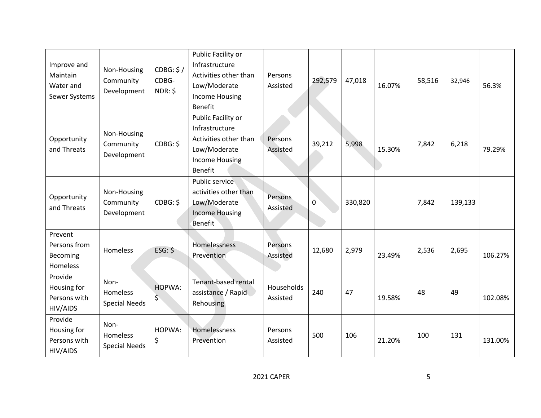| Improve and<br>Maintain<br>Water and<br>Sewer Systems | Non-Housing<br>Community<br>Development  | CDBG: \$/<br>CDBG-<br>NDR: \$ | Public Facility or<br>Infrastructure<br>Activities other than<br>Low/Moderate<br><b>Income Housing</b><br><b>Benefit</b> | Persons<br>Assisted    | 292,579      | 47,018  | 16.07% | 58,516 | 32,946  | 56.3%   |
|-------------------------------------------------------|------------------------------------------|-------------------------------|--------------------------------------------------------------------------------------------------------------------------|------------------------|--------------|---------|--------|--------|---------|---------|
| Opportunity<br>and Threats                            | Non-Housing<br>Community<br>Development  | CDBG: \$                      | Public Facility or<br>Infrastructure<br>Activities other than<br>Low/Moderate<br><b>Income Housing</b><br><b>Benefit</b> | Persons<br>Assisted    | 39,212       | 5,998   | 15.30% | 7,842  | 6,218   | 79.29%  |
| Opportunity<br>and Threats                            | Non-Housing<br>Community<br>Development  | CDBG: \$                      | Public service<br>activities other than<br>Low/Moderate<br><b>Income Housing</b><br><b>Benefit</b>                       | Persons<br>Assisted    | $\mathbf{0}$ | 330,820 |        | 7,842  | 139,133 |         |
| Prevent<br>Persons from<br>Becoming<br>Homeless       | Homeless                                 | $ESG:$ \$                     | Homelessness<br>Prevention                                                                                               | Persons<br>Assisted    | 12,680       | 2,979   | 23.49% | 2,536  | 2,695   | 106.27% |
| Provide<br>Housing for<br>Persons with<br>HIV/AIDS    | Non-<br>Homeless<br><b>Special Needs</b> | HOPWA:<br>\$                  | Tenant-based rental<br>assistance / Rapid<br>Rehousing                                                                   | Households<br>Assisted | 240          | 47      | 19.58% | 48     | 49      | 102.08% |
| Provide<br>Housing for<br>Persons with<br>HIV/AIDS    | Non-<br>Homeless<br><b>Special Needs</b> | HOPWA:<br>\$                  | Homelessness<br>Prevention                                                                                               | Persons<br>Assisted    | 500          | 106     | 21.20% | 100    | 131     | 131.00% |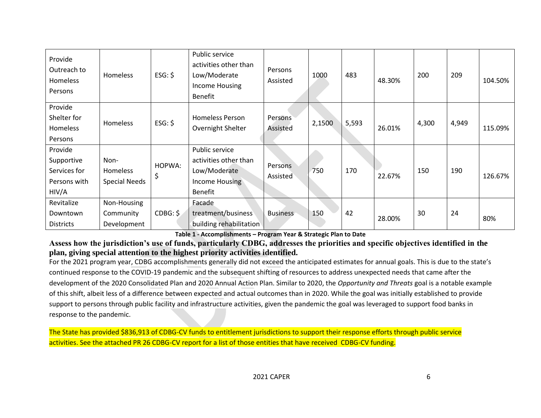| Provide<br>Outreach to<br>Homeless<br>Persons                  | Homeless                                        | $ESG:$ \$    | Public service<br>activities other than<br>Low/Moderate<br>Income Housing<br><b>Benefit</b> | Persons<br>Assisted | 1000   | 483   | 48.30% | 200   | 209   | 104.50% |
|----------------------------------------------------------------|-------------------------------------------------|--------------|---------------------------------------------------------------------------------------------|---------------------|--------|-------|--------|-------|-------|---------|
| Provide<br>Shelter for<br>Homeless<br>Persons                  | Homeless                                        | $ESG:$ \$    | <b>Homeless Person</b><br>Overnight Shelter                                                 | Persons<br>Assisted | 2,1500 | 5,593 | 26.01% | 4,300 | 4,949 | 115.09% |
| Provide<br>Supportive<br>Services for<br>Persons with<br>HIV/A | Non-<br><b>Homeless</b><br><b>Special Needs</b> | HOPWA:<br>\$ | Public service<br>activities other than<br>Low/Moderate<br>Income Housing<br><b>Benefit</b> | Persons<br>Assisted | 750    | 170   | 22.67% | 150   | 190   | 126.67% |
| Revitalize<br>Downtown<br><b>Districts</b>                     | Non-Housing<br>Community<br>Development         | CDBG: \$     | Facade<br>treatment/business<br>building rehabilitation                                     | <b>Business</b>     | 150    | 42    | 28.00% | 30    | 24    | 80%     |

**Table 1 - Accomplishments – Program Year & Strategic Plan to Date**

**Assess how the jurisdiction's use of funds, particularly CDBG, addresses the priorities and specific objectives identified in the plan, giving special attention to the highest priority activities identified.**

For the 2021 program year, CDBG accomplishments generally did not exceed the anticipated estimates for annual goals. This is due to the state's continued response to the COVID-19 pandemic and the subsequent shifting of resources to address unexpected needs that came after the development of the 2020 Consolidated Plan and 2020 Annual Action Plan. Similar to 2020, the *Opportunity and Threats* goal is a notable example of this shift, albeit less of a difference between expected and actual outcomes than in 2020. While the goal was initially established to provide support to persons through public facility and infrastructure activities, given the pandemic the goal was leveraged to support food banks in response to the pandemic.

The State has provided \$836,913 of CDBG-CV funds to entitlement jurisdictions to support their response efforts through public service activities. See the attached PR 26 CDBG-CV report for a list of those entities that have received CDBG-CV funding.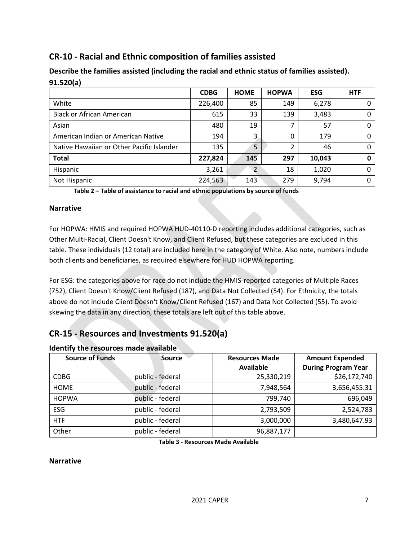## <span id="page-6-0"></span>**CR-10 - Racial and Ethnic composition of families assisted**

| フェ・フムひしロー                                 |             |                          |              |            |            |
|-------------------------------------------|-------------|--------------------------|--------------|------------|------------|
|                                           | <b>CDBG</b> | <b>HOME</b>              | <b>HOPWA</b> | <b>ESG</b> | <b>HTF</b> |
| White                                     | 226,400     | 85                       | 149          | 6,278      |            |
| <b>Black or African American</b>          | 615         | 33                       | 139          | 3,483      |            |
| Asian                                     | 480         | 19                       |              | 57         |            |
| American Indian or American Native        | 194         | 3                        | $\Omega$     | 179        |            |
| Native Hawaiian or Other Pacific Islander | 135         | 5                        | 2            | 46         |            |
| <b>Total</b>                              | 227,824     | 145                      | 297          | 10,043     |            |
| Hispanic                                  | 3,261       | $\overline{\phantom{0}}$ | 18           | 1,020      |            |
| Not Hispanic                              | 224,563     | 143                      | 279          | 9,794      |            |

**Describe the families assisted (including the racial and ethnic status of families assisted). 91.520(a)** 

**Table 2 – Table of assistance to racial and ethnic populations by source of funds**

#### **Narrative**

For HOPWA: HMIS and required HOPWA HUD-40110-D reporting includes additional categories, such as Other Multi-Racial, Client Doesn't Know, and Client Refused, but these categories are excluded in this table. These individuals (12 total) are included here in the category of White. Also note, numbers include both clients and beneficiaries, as required elsewhere for HUD HOPWA reporting.

For ESG: the categories above for race do not include the HMIS-reported categories of Multiple Races (752), Client Doesn't Know/Client Refused (187), and Data Not Collected (54). For Ethnicity, the totals above do not include Client Doesn't Know/Client Refused (167) and Data Not Collected (55). To avoid skewing the data in any direction, these totals are left out of this table above.

## <span id="page-6-1"></span>**CR-15 - Resources and Investments 91.520(a)**

| <b>Source of Funds</b> | <b>Source</b>    | <b>Resources Made</b><br><b>Available</b> | <b>Amount Expended</b><br><b>During Program Year</b> |
|------------------------|------------------|-------------------------------------------|------------------------------------------------------|
| <b>CDBG</b>            | public - federal | 25,330,219                                | \$26,172,740                                         |
| <b>HOME</b>            | public - federal | 7,948,564                                 | 3,656,455.31                                         |
| <b>HOPWA</b>           | public - federal | 799,740                                   | 696,049                                              |
| ESG                    | public - federal | 2,793,509                                 | 2,524,783                                            |
| <b>HTF</b>             | public - federal | 3,000,000                                 | 3,480,647.93                                         |
| Other                  | public - federal | 96,887,177                                |                                                      |

#### **Identify the resources made available**

**Table 3 - Resources Made Available**

#### **Narrative**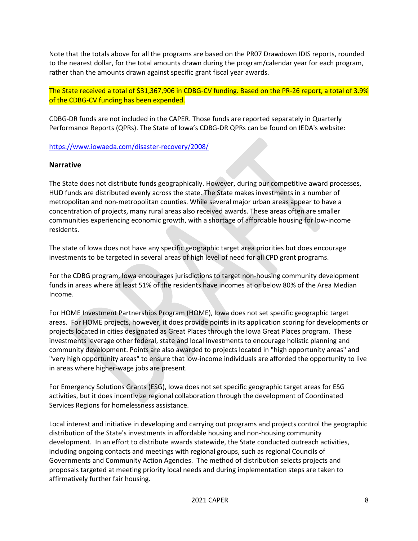Note that the totals above for all the programs are based on the PR07 Drawdown IDIS reports, rounded to the nearest dollar, for the total amounts drawn during the program/calendar year for each program, rather than the amounts drawn against specific grant fiscal year awards.

The State received a total of \$31,367,906 in CDBG-CV funding. Based on the PR-26 report, a total of 3.9% of the CDBG-CV funding has been expended.

CDBG-DR funds are not included in the CAPER. Those funds are reported separately in Quarterly Performance Reports (QPRs). The State of Iowa's CDBG-DR QPRs can be found on IEDA's website:

<https://www.iowaeda.com/disaster-recovery/2008/>

#### **Narrative**

The State does not distribute funds geographically. However, during our competitive award processes, HUD funds are distributed evenly across the state. The State makes investments in a number of metropolitan and non-metropolitan counties. While several major urban areas appear to have a concentration of projects, many rural areas also received awards. These areas often are smaller communities experiencing economic growth, with a shortage of affordable housing for low-income residents.

The state of Iowa does not have any specific geographic target area priorities but does encourage investments to be targeted in several areas of high level of need for all CPD grant programs.

For the CDBG program, Iowa encourages jurisdictions to target non-housing community development funds in areas where at least 51% of the residents have incomes at or below 80% of the Area Median Income.

For HOME Investment Partnerships Program (HOME), Iowa does not set specific geographic target areas. For HOME projects, however, it does provide points in its application scoring for developments or projects located in cities designated as Great Places through the Iowa Great Places program. These investments leverage other federal, state and local investments to encourage holistic planning and community development. Points are also awarded to projects located in "high opportunity areas" and "very high opportunity areas" to ensure that low-income individuals are afforded the opportunity to live in areas where higher-wage jobs are present.

For Emergency Solutions Grants (ESG), Iowa does not set specific geographic target areas for ESG activities, but it does incentivize regional collaboration through the development of Coordinated Services Regions for homelessness assistance.

Local interest and initiative in developing and carrying out programs and projects control the geographic distribution of the State's investments in affordable housing and non-housing community development. In an effort to distribute awards statewide, the State conducted outreach activities, including ongoing contacts and meetings with regional groups, such as regional Councils of Governments and Community Action Agencies. The method of distribution selects projects and proposals targeted at meeting priority local needs and during implementation steps are taken to affirmatively further fair housing.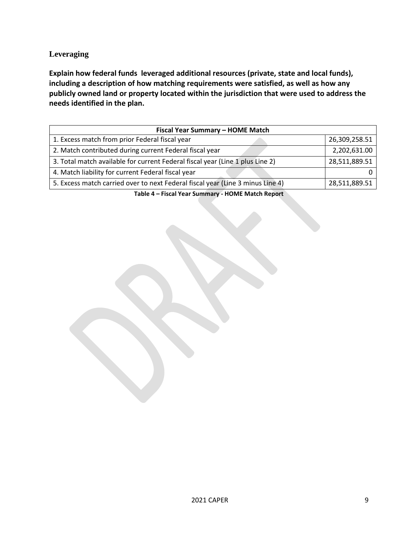## **Leveraging**

**Explain how federal funds leveraged additional resources (private, state and local funds), including a description of how matching requirements were satisfied, as well as how any publicly owned land or property located within the jurisdiction that were used to address the needs identified in the plan.**

| Fiscal Year Summary - HOME Match                                               |               |  |  |  |  |  |  |
|--------------------------------------------------------------------------------|---------------|--|--|--|--|--|--|
| 1. Excess match from prior Federal fiscal year                                 | 26,309,258.51 |  |  |  |  |  |  |
| 2. Match contributed during current Federal fiscal year                        | 2,202,631.00  |  |  |  |  |  |  |
| 3. Total match available for current Federal fiscal year (Line 1 plus Line 2)  | 28,511,889.51 |  |  |  |  |  |  |
| 4. Match liability for current Federal fiscal year                             |               |  |  |  |  |  |  |
| 5. Excess match carried over to next Federal fiscal year (Line 3 minus Line 4) | 28,511,889.51 |  |  |  |  |  |  |

**Table 4 – Fiscal Year Summary - HOME Match Report**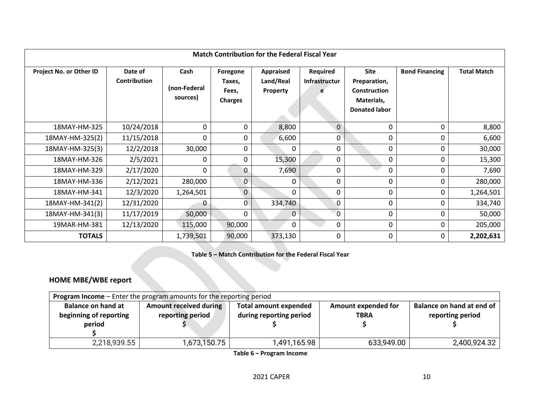| <b>Match Contribution for the Federal Fiscal Year</b> |                                |                                  |                                               |                                    |                                |                                                                                          |                       |                    |  |  |
|-------------------------------------------------------|--------------------------------|----------------------------------|-----------------------------------------------|------------------------------------|--------------------------------|------------------------------------------------------------------------------------------|-----------------------|--------------------|--|--|
| Project No. or Other ID                               | Date of<br><b>Contribution</b> | Cash<br>(non-Federal<br>sources) | Foregone<br>Taxes,<br>Fees,<br><b>Charges</b> | Appraised<br>Land/Real<br>Property | Required<br>Infrastructur<br>e | <b>Site</b><br>Preparation,<br><b>Construction</b><br>Materials,<br><b>Donated labor</b> | <b>Bond Financing</b> | <b>Total Match</b> |  |  |
| 18MAY-HM-325                                          | 10/24/2018                     | 0                                | 0                                             | 8,800                              | $\Omega$                       | 0                                                                                        | 0                     | 8,800              |  |  |
| 18MAY-HM-325(2)                                       | 11/15/2018                     | 0                                | 0                                             | 6,600                              | 0                              | 0                                                                                        |                       | 6,600              |  |  |
| 18MAY-HM-325(3)                                       | 12/2/2018                      | 30,000                           | 0                                             | U                                  | 0                              | 0                                                                                        |                       | 30,000             |  |  |
| 18MAY-HM-326                                          | 2/5/2021                       | 0                                | 0                                             | 15,300                             | 0                              | 0                                                                                        |                       | 15,300             |  |  |
| 18MAY-HM-329                                          | 2/17/2020                      | 0                                | 0                                             | 7,690                              | 0                              | 0                                                                                        | 0                     | 7,690              |  |  |
| 18MAY-HM-336                                          | 2/12/2021                      | 280,000                          | 0                                             | 0                                  | 0                              | 0                                                                                        | 0                     | 280,000            |  |  |
| 18MAY-HM-341                                          | 12/3/2020                      | 1,264,501                        | $\overline{0}$                                | 0                                  | $\Omega$                       | 0                                                                                        |                       | 1,264,501          |  |  |
| 18MAY-HM-341(2)                                       | 12/31/2020                     | 0                                | 0                                             | 334,740                            | 0                              | 0                                                                                        | 0                     | 334,740            |  |  |
| 18MAY-HM-341(3)                                       | 11/17/2019                     | 50,000                           | 0                                             | $\mathbf{0}$                       | $\overline{0}$                 | 0                                                                                        | 0                     | 50,000             |  |  |
| 19MAR-HM-381                                          | 12/13/2020                     | 115,000                          | 90,000                                        | 0                                  | 0                              | 0                                                                                        | 0                     | 205,000            |  |  |
| <b>TOTALS</b>                                         |                                | 1,739,501                        | 90,000                                        | 373,130                            | 0                              | 0                                                                                        | 0                     | 2,202,631          |  |  |

**Table 5 – Match Contribution for the Federal Fiscal Year**

## **HOME MBE/WBE report**

| <b>Program Income</b> - Enter the program amounts for the reporting period |                               |                              |                           |                  |  |  |  |  |  |  |
|----------------------------------------------------------------------------|-------------------------------|------------------------------|---------------------------|------------------|--|--|--|--|--|--|
| <b>Balance on hand at</b>                                                  | <b>Amount received during</b> | <b>Total amount expended</b> | Balance on hand at end of |                  |  |  |  |  |  |  |
| beginning of reporting                                                     | reporting period              | during reporting period      |                           | reporting period |  |  |  |  |  |  |
| period                                                                     |                               |                              |                           |                  |  |  |  |  |  |  |
|                                                                            |                               |                              |                           |                  |  |  |  |  |  |  |
| 2,218,939.55                                                               | 1,673,150.75                  | 1,491,165.98                 | 633,949.00                | 2,400,924.32     |  |  |  |  |  |  |

**Table 6 – Program Income**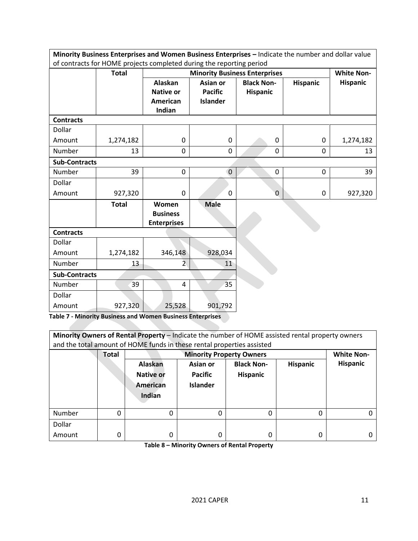| Minority Business Enterprises and Women Business Enterprises - Indicate the number and dollar value |                                                                      |                    |                 |                                      |                 |                   |  |  |  |
|-----------------------------------------------------------------------------------------------------|----------------------------------------------------------------------|--------------------|-----------------|--------------------------------------|-----------------|-------------------|--|--|--|
|                                                                                                     | of contracts for HOME projects completed during the reporting period |                    |                 |                                      |                 |                   |  |  |  |
|                                                                                                     | <b>Total</b>                                                         |                    |                 | <b>Minority Business Enterprises</b> |                 | <b>White Non-</b> |  |  |  |
|                                                                                                     |                                                                      | <b>Alaskan</b>     | Asian or        | <b>Black Non-</b>                    | <b>Hispanic</b> | <b>Hispanic</b>   |  |  |  |
|                                                                                                     |                                                                      | <b>Native or</b>   | <b>Pacific</b>  | <b>Hispanic</b>                      |                 |                   |  |  |  |
|                                                                                                     |                                                                      | <b>American</b>    | <b>Islander</b> |                                      |                 |                   |  |  |  |
|                                                                                                     |                                                                      | Indian             |                 |                                      |                 |                   |  |  |  |
| <b>Contracts</b>                                                                                    |                                                                      |                    |                 |                                      |                 |                   |  |  |  |
| Dollar                                                                                              |                                                                      |                    |                 |                                      |                 |                   |  |  |  |
| Amount                                                                                              | 1,274,182                                                            | 0                  | $\mathbf 0$     | 0                                    | 0               | 1,274,182         |  |  |  |
| Number                                                                                              | 13                                                                   | 0                  | 0               | $\mathbf 0$                          | 0               | 13                |  |  |  |
| <b>Sub-Contracts</b>                                                                                |                                                                      |                    |                 |                                      |                 |                   |  |  |  |
| Number                                                                                              | 39                                                                   | $\mathbf 0$        | $\mathbf{0}$    | $\mathbf 0$                          | $\mathbf 0$     | 39                |  |  |  |
| Dollar                                                                                              |                                                                      |                    |                 |                                      |                 |                   |  |  |  |
| Amount                                                                                              | 927,320                                                              | 0                  | 0               | $\mathbf 0$                          | $\mathbf 0$     | 927,320           |  |  |  |
|                                                                                                     | <b>Total</b>                                                         | Women              | <b>Male</b>     |                                      |                 |                   |  |  |  |
|                                                                                                     |                                                                      | <b>Business</b>    |                 |                                      |                 |                   |  |  |  |
|                                                                                                     |                                                                      | <b>Enterprises</b> |                 |                                      |                 |                   |  |  |  |
| <b>Contracts</b>                                                                                    |                                                                      |                    |                 |                                      |                 |                   |  |  |  |
| Dollar                                                                                              |                                                                      |                    |                 |                                      |                 |                   |  |  |  |
| Amount                                                                                              | 1,274,182                                                            | 346,148            | 928,034         |                                      |                 |                   |  |  |  |
| Number                                                                                              | 13                                                                   | $\overline{2}$     | 11              |                                      |                 |                   |  |  |  |
| <b>Sub-Contracts</b>                                                                                |                                                                      |                    |                 |                                      |                 |                   |  |  |  |
| Number                                                                                              | 39                                                                   | $\overline{4}$     | 35              |                                      |                 |                   |  |  |  |
| Dollar                                                                                              |                                                                      |                    |                 |                                      |                 |                   |  |  |  |
| Amount                                                                                              | 927,320                                                              | 25,528             | 901,792         |                                      |                 |                   |  |  |  |

**Table 7 - Minority Business and Women Business Enterprises**

| Minority Owners of Rental Property - Indicate the number of HOME assisted rental property owners |              |                  |                                                  |                 |                 |                   |  |  |  |  |
|--------------------------------------------------------------------------------------------------|--------------|------------------|--------------------------------------------------|-----------------|-----------------|-------------------|--|--|--|--|
| and the total amount of HOME funds in these rental properties assisted                           |              |                  |                                                  |                 |                 |                   |  |  |  |  |
|                                                                                                  | <b>Total</b> |                  | <b>Minority Property Owners</b>                  |                 |                 | <b>White Non-</b> |  |  |  |  |
|                                                                                                  |              | <b>Alaskan</b>   | <b>Black Non-</b><br><b>Hispanic</b><br>Asian or |                 | <b>Hispanic</b> |                   |  |  |  |  |
|                                                                                                  |              | <b>Native or</b> | <b>Pacific</b>                                   | <b>Hispanic</b> |                 |                   |  |  |  |  |
|                                                                                                  |              | American         | <b>Islander</b>                                  |                 |                 |                   |  |  |  |  |
|                                                                                                  |              | Indian           |                                                  |                 |                 |                   |  |  |  |  |
|                                                                                                  |              |                  |                                                  |                 |                 |                   |  |  |  |  |
| Number                                                                                           | 0            | 0                |                                                  | 0               | 0               |                   |  |  |  |  |
| Dollar                                                                                           |              |                  |                                                  |                 |                 |                   |  |  |  |  |
| Amount                                                                                           | 0            | 0                | 0                                                | 0               | 0               |                   |  |  |  |  |

**Table 8 – Minority Owners of Rental Property**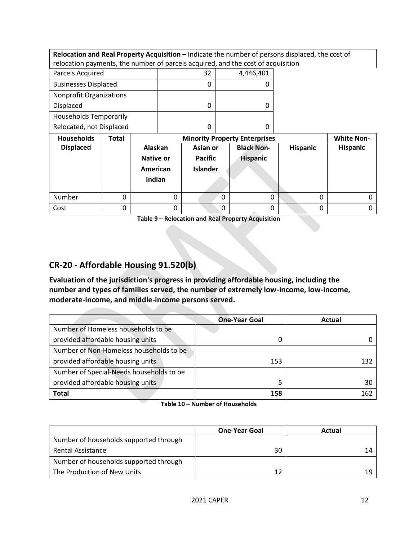| Relocation and Real Property Acquisition - Indicate the number of persons displaced, the cost of |       |                  |          |                 |          |                                      |                 |                   |
|--------------------------------------------------------------------------------------------------|-------|------------------|----------|-----------------|----------|--------------------------------------|-----------------|-------------------|
| relocation payments, the number of parcels acquired, and the cost of acquisition                 |       |                  |          |                 |          |                                      |                 |                   |
| Parcels Acquired                                                                                 |       |                  |          | 32              |          | 4,446,401                            |                 |                   |
| <b>Businesses Displaced</b>                                                                      |       |                  |          | 0               |          |                                      |                 |                   |
| <b>Nonprofit Organizations</b>                                                                   |       |                  |          |                 |          |                                      |                 |                   |
| Displaced                                                                                        |       |                  |          | 0               |          | 0                                    |                 |                   |
| <b>Households Temporarily</b>                                                                    |       |                  |          |                 |          |                                      |                 |                   |
| Relocated, not Displaced                                                                         |       |                  | 0        |                 | 0        |                                      |                 |                   |
|                                                                                                  |       |                  |          |                 |          |                                      |                 |                   |
| <b>Households</b>                                                                                | Total |                  |          |                 |          | <b>Minority Property Enterprises</b> |                 | <b>White Non-</b> |
| <b>Displaced</b>                                                                                 |       | Alaskan          |          | Asian or        |          | <b>Black Non-</b>                    | <b>Hispanic</b> | <b>Hispanic</b>   |
|                                                                                                  |       | <b>Native or</b> |          | <b>Pacific</b>  |          | <b>Hispanic</b>                      |                 |                   |
|                                                                                                  |       | American         |          | <b>Islander</b> |          |                                      |                 |                   |
|                                                                                                  |       | Indian           |          |                 |          |                                      |                 |                   |
|                                                                                                  |       |                  |          |                 |          |                                      |                 |                   |
| Number                                                                                           | 0     |                  | $\Omega$ |                 | $\Omega$ | $\Omega$                             | 0               |                   |

**Table 9 – Relocation and Real Property Acquisition**

## <span id="page-11-0"></span>**CR-20 - Affordable Housing 91.520(b)**

**Evaluation of the jurisdiction's progress in providing affordable housing, including the number and types of families served, the number of extremely low-income, low-income, moderate-income, and middle-income persons served.**

|                                          | <b>One-Year Goal</b> | Actual |
|------------------------------------------|----------------------|--------|
| Number of Homeless households to be      |                      |        |
| provided affordable housing units        |                      |        |
| Number of Non-Homeless households to be  |                      |        |
| provided affordable housing units        | 153                  | 132    |
| Number of Special-Needs households to be |                      |        |
| provided affordable housing units        |                      | 30     |
| <b>Total</b>                             | 158                  | 162    |

#### **Table 10 – Number of Households**

|                                        | <b>One-Year Goal</b> | Actual |
|----------------------------------------|----------------------|--------|
| Number of households supported through |                      |        |
| Rental Assistance                      | 30                   | 14     |
| Number of households supported through |                      |        |
| The Production of New Units            | 12                   | 19     |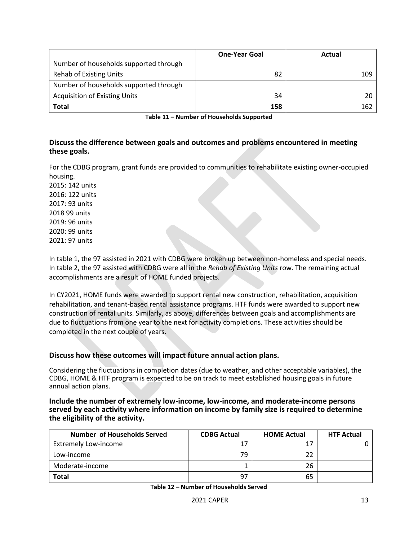|                                        | <b>One-Year Goal</b> | Actual |
|----------------------------------------|----------------------|--------|
| Number of households supported through |                      |        |
| <b>Rehab of Existing Units</b>         | 82                   | 109    |
| Number of households supported through |                      |        |
| <b>Acquisition of Existing Units</b>   | 34                   | 20     |
| <b>Total</b>                           | 158                  | 162    |

**Table 11 – Number of Households Supported**

#### **Discuss the difference between goals and outcomes and problems encountered in meeting these goals.**

For the CDBG program, grant funds are provided to communities to rehabilitate existing owner-occupied housing.

2015: 142 units 2016: 122 units 2017: 93 units 2018 99 units 2019: 96 units 2020: 99 units 2021: 97 units

In table 1, the 97 assisted in 2021 with CDBG were broken up between non-homeless and special needs. In table 2, the 97 assisted with CDBG were all in the *Rehab of Existing Units* row. The remaining actual accomplishments are a result of HOME funded projects.

In CY2021, HOME funds were awarded to support rental new construction, rehabilitation, acquisition rehabilitation, and tenant-based rental assistance programs. HTF funds were awarded to support new construction of rental units. Similarly, as above, differences between goals and accomplishments are due to fluctuations from one year to the next for activity completions. These activities should be completed in the next couple of years.

#### **Discuss how these outcomes will impact future annual action plans.**

Considering the fluctuations in completion dates (due to weather, and other acceptable variables), the CDBG, HOME & HTF program is expected to be on track to meet established housing goals in future annual action plans.

#### **Include the number of extremely low-income, low-income, and moderate-income persons served by each activity where information on income by family size is required to determine the eligibility of the activity.**

| <b>Number of Households Served</b> | <b>CDBG Actual</b> | <b>HOME Actual</b> | <b>HTF Actual</b> |
|------------------------------------|--------------------|--------------------|-------------------|
| <b>Extremely Low-income</b>        |                    | 17                 |                   |
| Low-income                         | 79                 | 22                 |                   |
| Moderate-income                    |                    | 26                 |                   |
| <b>Total</b>                       | 97                 | 65                 |                   |

**Table 12 – Number of Households Served**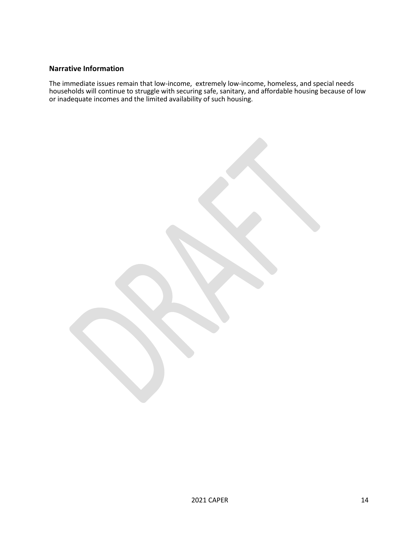#### **Narrative Information**

The immediate issues remain that low-income, extremely low-income, homeless, and special needs households will continue to struggle with securing safe, sanitary, and affordable housing because of low or inadequate incomes and the limited availability of such housing.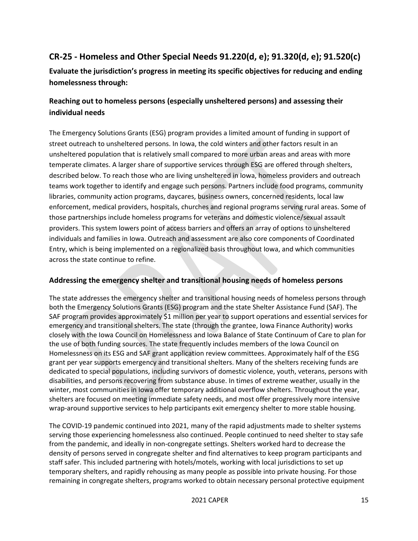## <span id="page-14-0"></span>**CR-25 - Homeless and Other Special Needs 91.220(d, e); 91.320(d, e); 91.520(c)**

## **Evaluate the jurisdiction's progress in meeting its specific objectives for reducing and ending homelessness through:**

## **Reaching out to homeless persons (especially unsheltered persons) and assessing their individual needs**

The Emergency Solutions Grants (ESG) program provides a limited amount of funding in support of street outreach to unsheltered persons. In Iowa, the cold winters and other factors result in an unsheltered population that is relatively small compared to more urban areas and areas with more temperate climates. A larger share of supportive services through ESG are offered through shelters, described below. To reach those who are living unsheltered in Iowa, homeless providers and outreach teams work together to identify and engage such persons. Partners include food programs, community libraries, community action programs, daycares, business owners, concerned residents, local law enforcement, medical providers, hospitals, churches and regional programs serving rural areas. Some of those partnerships include homeless programs for veterans and domestic violence/sexual assault providers. This system lowers point of access barriers and offers an array of options to unsheltered individuals and families in Iowa. Outreach and assessment are also core components of Coordinated Entry, which is being implemented on a regionalized basis throughout Iowa, and which communities across the state continue to refine.

## **Addressing the emergency shelter and transitional housing needs of homeless persons**

The state addresses the emergency shelter and transitional housing needs of homeless persons through both the Emergency Solutions Grants (ESG) program and the state Shelter Assistance Fund (SAF). The SAF program provides approximately \$1 million per year to support operations and essential services for emergency and transitional shelters. The state (through the grantee, Iowa Finance Authority) works closely with the Iowa Council on Homelessness and Iowa Balance of State Continuum of Care to plan for the use of both funding sources. The state frequently includes members of the Iowa Council on Homelessness on its ESG and SAF grant application review committees. Approximately half of the ESG grant per year supports emergency and transitional shelters. Many of the shelters receiving funds are dedicated to special populations, including survivors of domestic violence, youth, veterans, persons with disabilities, and persons recovering from substance abuse. In times of extreme weather, usually in the winter, most communities in Iowa offer temporary additional overflow shelters. Throughout the year, shelters are focused on meeting immediate safety needs, and most offer progressively more intensive wrap-around supportive services to help participants exit emergency shelter to more stable housing.

The COVID-19 pandemic continued into 2021, many of the rapid adjustments made to shelter systems serving those experiencing homelessness also continued. People continued to need shelter to stay safe from the pandemic, and ideally in non-congregate settings. Shelters worked hard to decrease the density of persons served in congregate shelter and find alternatives to keep program participants and staff safer. This included partnering with hotels/motels, working with local jurisdictions to set up temporary shelters, and rapidly rehousing as many people as possible into private housing. For those remaining in congregate shelters, programs worked to obtain necessary personal protective equipment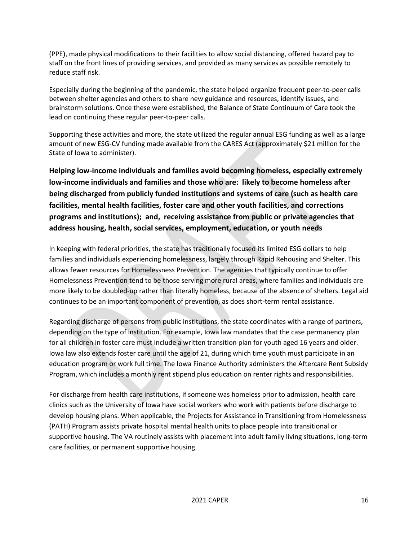(PPE), made physical modifications to their facilities to allow social distancing, offered hazard pay to staff on the front lines of providing services, and provided as many services as possible remotely to reduce staff risk.

Especially during the beginning of the pandemic, the state helped organize frequent peer-to-peer calls between shelter agencies and others to share new guidance and resources, identify issues, and brainstorm solutions. Once these were established, the Balance of State Continuum of Care took the lead on continuing these regular peer-to-peer calls.

Supporting these activities and more, the state utilized the regular annual ESG funding as well as a large amount of new ESG-CV funding made available from the CARES Act (approximately \$21 million for the State of Iowa to administer). 

**Helping low-income individuals and families avoid becoming homeless, especially extremely low-income individuals and families and those who are: likely to become homeless after being discharged from publicly funded institutions and systems of care (such as health care facilities, mental health facilities, foster care and other youth facilities, and corrections programs and institutions); and, receiving assistance from public or private agencies that address housing, health, social services, employment, education, or youth needs**

In keeping with federal priorities, the state has traditionally focused its limited ESG dollars to help families and individuals experiencing homelessness, largely through Rapid Rehousing and Shelter. This allows fewer resources for Homelessness Prevention. The agencies that typically continue to offer Homelessness Prevention tend to be those serving more rural areas, where families and individuals are more likely to be doubled-up rather than literally homeless, because of the absence of shelters. Legal aid continues to be an important component of prevention, as does short-term rental assistance.

Regarding discharge of persons from public institutions, the state coordinates with a range of partners, depending on the type of institution. For example, Iowa law mandates that the case permanency plan for all children in foster care must include a written transition plan for youth aged 16 years and older. Iowa law also extends foster care until the age of 21, during which time youth must participate in an education program or work full time. The Iowa Finance Authority administers the Aftercare Rent Subsidy Program, which includes a monthly rent stipend plus education on renter rights and responsibilities.

For discharge from health care institutions, if someone was homeless prior to admission, health care clinics such as the University of Iowa have social workers who work with patients before discharge to develop housing plans. When applicable, the Projects for Assistance in Transitioning from Homelessness (PATH) Program assists private hospital mental health units to place people into transitional or supportive housing. The VA routinely assists with placement into adult family living situations, long-term care facilities, or permanent supportive housing.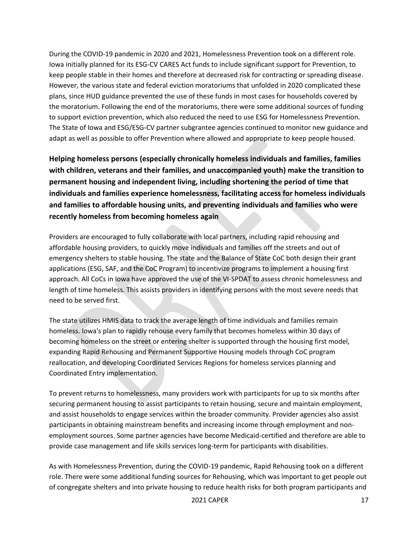During the COVID-19 pandemic in 2020 and 2021, Homelessness Prevention took on a different role. Iowa initially planned for its ESG-CV CARES Act funds to include significant support for Prevention, to keep people stable in their homes and therefore at decreased risk for contracting or spreading disease. However, the various state and federal eviction moratoriums that unfolded in 2020 complicated these plans, since HUD guidance prevented the use of these funds in most cases for households covered by the moratorium. Following the end of the moratoriums, there were some additional sources of funding to support eviction prevention, which also reduced the need to use ESG for Homelessness Prevention. The State of Iowa and ESG/ESG-CV partner subgrantee agencies continued to monitor new guidance and adapt as well as possible to offer Prevention where allowed and appropriate to keep people housed.

**Helping homeless persons (especially chronically homeless individuals and families, families with children, veterans and their families, and unaccompanied youth) make the transition to permanent housing and independent living, including shortening the period of time that individuals and families experience homelessness, facilitating access for homeless individuals and families to affordable housing units, and preventing individuals and families who were recently homeless from becoming homeless again**

Providers are encouraged to fully collaborate with local partners, including rapid rehousing and affordable housing providers, to quickly move individuals and families off the streets and out of emergency shelters to stable housing. The state and the Balance of State CoC both design their grant applications (ESG, SAF, and the CoC Program) to incentivize programs to implement a housing first approach. All CoCs in Iowa have approved the use of the VI-SPDAT to assess chronic homelessness and length of time homeless. This assists providers in identifying persons with the most severe needs that need to be served first.

The state utilizes HMIS data to track the average length of time individuals and families remain homeless. Iowa's plan to rapidly rehouse every family that becomes homeless within 30 days of becoming homeless on the street or entering shelter is supported through the housing first model, expanding Rapid Rehousing and Permanent Supportive Housing models through CoC program reallocation, and developing Coordinated Services Regions for homeless services planning and Coordinated Entry implementation.

To prevent returns to homelessness, many providers work with participants for up to six months after securing permanent housing to assist participants to retain housing, secure and maintain employment, and assist households to engage services within the broader community. Provider agencies also assist participants in obtaining mainstream benefits and increasing income through employment and nonemployment sources. Some partner agencies have become Medicaid-certified and therefore are able to provide case management and life skills services long-term for participants with disabilities.

As with Homelessness Prevention, during the COVID-19 pandemic, Rapid Rehousing took on a different role. There were some additional funding sources for Rehousing, which was important to get people out of congregate shelters and into private housing to reduce health risks for both program participants and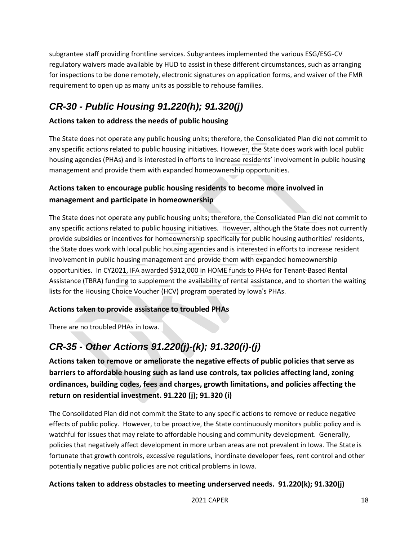subgrantee staff providing frontline services. Subgrantees implemented the various ESG/ESG-CV regulatory waivers made available by HUD to assist in these different circumstances, such as arranging for inspections to be done remotely, electronic signatures on application forms, and waiver of the FMR requirement to open up as many units as possible to rehouse families.

# <span id="page-17-0"></span>*CR-30 - Public Housing 91.220(h); 91.320(j)*

## **Actions taken to address the needs of public housing**

The State does not operate any public housing units; therefore, the Consolidated Plan did not commit to any specific actions related to public housing initiatives. However, the State does work with local public housing agencies (PHAs) and is interested in efforts to increase residents' involvement in public housing management and provide them with expanded homeownership opportunities.

## **Actions taken to encourage public housing residents to become more involved in management and participate in homeownership**

The State does not operate any public housing units; therefore, the Consolidated Plan did not commit to any specific actions related to public housing initiatives.  However, although the State does not currently provide subsidies or incentives for homeownership specifically for public housing authorities' residents, the State does work with local public housing agencies and is interested in efforts to increase resident involvement in public housing management and provide them with expanded homeownership opportunities.  In CY2021, IFA awarded \$312,000 in HOME funds to PHAs for Tenant-Based Rental Assistance (TBRA) funding to supplement the availability of rental assistance, and to shorten the waiting lists for the Housing Choice Voucher (HCV) program operated by Iowa's PHAs. 

## **Actions taken to provide assistance to troubled PHAs**

There are no troubled PHAs in Iowa. 

# <span id="page-17-1"></span>*CR-35 - Other Actions 91.220(j)-(k); 91.320(i)-(j)*

**Actions taken to remove or ameliorate the negative effects of public policies that serve as barriers to affordable housing such as land use controls, tax policies affecting land, zoning ordinances, building codes, fees and charges, growth limitations, and policies affecting the return on residential investment. 91.220 (j); 91.320 (i)**

The Consolidated Plan did not commit the State to any specific actions to remove or reduce negative effects of public policy.  However, to be proactive, the State continuously monitors public policy and is watchful for issues that may relate to affordable housing and community development.  Generally, policies that negatively affect development in more urban areas are not prevalent in Iowa. The State is fortunate that growth controls, excessive regulations, inordinate developer fees, rent control and other potentially negative public policies are not critical problems in Iowa.

## **Actions taken to address obstacles to meeting underserved needs. 91.220(k); 91.320(j)**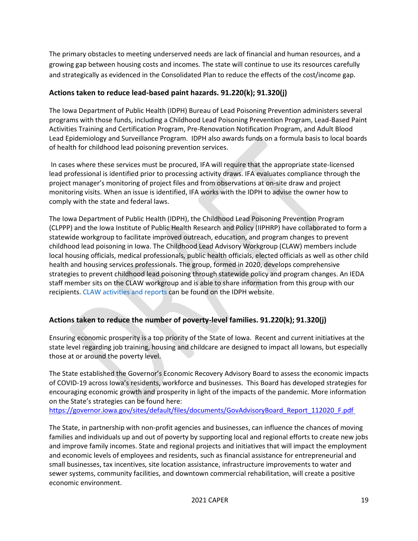The primary obstacles to meeting underserved needs are lack of financial and human resources, and a growing gap between housing costs and incomes. The state will continue to use its resources carefully and strategically as evidenced in the Consolidated Plan to reduce the effects of the cost/income gap.

#### **Actions taken to reduce lead-based paint hazards. 91.220(k); 91.320(j)**

The Iowa Department of Public Health (IDPH) Bureau of Lead Poisoning Prevention administers several programs with those funds, including a Childhood Lead Poisoning Prevention Program, Lead-Based Paint Activities Training and Certification Program, Pre-Renovation Notification Program, and Adult Blood Lead Epidemiology and Surveillance Program.  IDPH also awards funds on a formula basis to local boards of health for childhood lead poisoning prevention services.

In cases where these services must be procured, IFA will require that the appropriate state-licensed lead professional is identified prior to processing activity draws. IFA evaluates compliance through the project manager's monitoring of project files and from observations at on-site draw and project monitoring visits. When an issue is identified, IFA works with the IDPH to advise the owner how to comply with the state and federal laws.

The Iowa Department of Public Health (IDPH), the Childhood Lead Poisoning Prevention Program (CLPPP) and the Iowa Institute of Public Health Research and Policy (IIPHRP) have collaborated to form a statewide workgroup to facilitate improved outreach, education, and program changes to prevent childhood lead poisoning in Iowa. The Childhood Lead Advisory Workgroup (CLAW) members include local housing officials, medical professionals, public health officials, elected officials as well as other child health and housing services professionals. The group, formed in 2020, develops comprehensive strategies to prevent childhood lead poisoning through statewide policy and program changes. An IEDA staff member sits on the CLAW workgroup and is able to share information from this group with our recipients. [CLAW activities and reports](https://idph.iowa.gov/Environmental-Health-Services/Childhood-Lead-Poisoning-Prevention/resources#:~:text=Iowa%20Childhood%20Lead%20Advisory%20Workgroup%20(CLAW)&text=The%20group%2C%20formed%20in%202020,statewide%20policy%20and%20program%20changes.) can be found on the IDPH website.

## **Actions taken to reduce the number of poverty-level families. 91.220(k); 91.320(j)**

Ensuring economic prosperity is a top priority of the State of Iowa.  Recent and current initiatives at the state level regarding job training, housing and childcare are designed to impact all Iowans, but especially those at or around the poverty level.

The State established the Governor's Economic Recovery Advisory Board to assess the economic impacts of COVID-19 across Iowa's residents, workforce and businesses.  This Board has developed strategies for encouraging economic growth and prosperity in light of the impacts of the pandemic. More information on the State's strategies can be found here:

[https://governor.iowa.gov/sites/default/files/documents/GovAdvisoryBoard\\_Report\\_112020\\_F.pdf](https://governor.iowa.gov/sites/default/files/documents/GovAdvisoryBoard_Report_112020_F.pdf )

The State, in partnership with non-profit agencies and businesses, can influence the chances of moving families and individuals up and out of poverty by supporting local and regional efforts to create new jobs and improve family incomes. State and regional projects and initiatives that will impact the employment and economic levels of employees and residents, such as financial assistance for entrepreneurial and small businesses, tax incentives, site location assistance, infrastructure improvements to water and sewer systems, community facilities, and downtown commercial rehabilitation, will create a positive economic environment.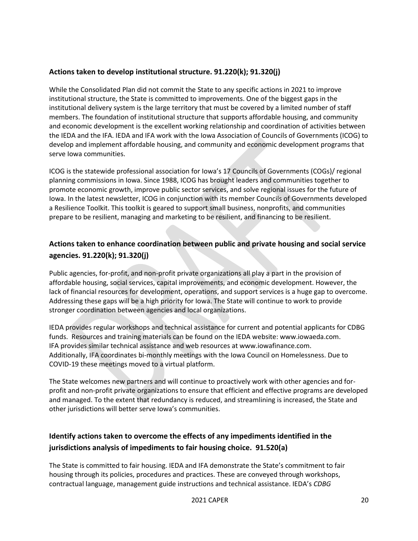## **Actions taken to develop institutional structure. 91.220(k); 91.320(j)**

While the Consolidated Plan did not commit the State to any specific actions in 2021 to improve institutional structure, the State is committed to improvements. One of the biggest gaps in the institutional delivery system is the large territory that must be covered by a limited number of staff members. The foundation of institutional structure that supports affordable housing, and community and economic development is the excellent working relationship and coordination of activities between the IEDA and the IFA. IEDA and IFA work with the Iowa Association of Councils of Governments (ICOG) to develop and implement affordable housing, and community and economic development programs that serve Iowa communities.

ICOG is the statewide professional association for Iowa's 17 Councils of Governments (COGs)/ regional planning commissions in Iowa. Since 1988, ICOG has brought leaders and communities together to promote economic growth, improve public sector services, and solve regional issues for the future of Iowa. In the latest newsletter, ICOG in conjunction with its member Councils of Governments developed a Resilience Toolkit. This toolkit is geared to support small business, nonprofits, and communities prepare to be resilient, managing and marketing to be resilient, and financing to be resilient.

## **Actions taken to enhance coordination between public and private housing and social service agencies. 91.220(k); 91.320(j)**

Public agencies, for-profit, and non-profit private organizations all play a part in the provision of affordable housing, social services, capital improvements, and economic development. However, the lack of financial resources for development, operations, and support services is a huge gap to overcome. Addressing these gaps will be a high priority for Iowa. The State will continue to work to provide stronger coordination between agencies and local organizations.

IEDA provides regular workshops and technical assistance for current and potential applicants for CDBG funds.  Resources and training materials can be found on the IEDA website: www.iowaeda.com. IFA provides similar technical assistance and web resources at www.iowafinance.com. Additionally, IFA coordinates bi-monthly meetings with the Iowa Council on Homelessness. Due to COVID-19 these meetings moved to a virtual platform.

The State welcomes new partners and will continue to proactively work with other agencies and forprofit and non-profit private organizations to ensure that efficient and effective programs are developed and managed. To the extent that redundancy is reduced, and streamlining is increased, the State and other jurisdictions will better serve Iowa's communities.

## **Identify actions taken to overcome the effects of any impediments identified in the jurisdictions analysis of impediments to fair housing choice. 91.520(a)**

The State is committed to fair housing. IEDA and IFA demonstrate the State's commitment to fair housing through its policies, procedures and practices. These are conveyed through workshops, contractual language, management guide instructions and technical assistance. IEDA's *CDBG*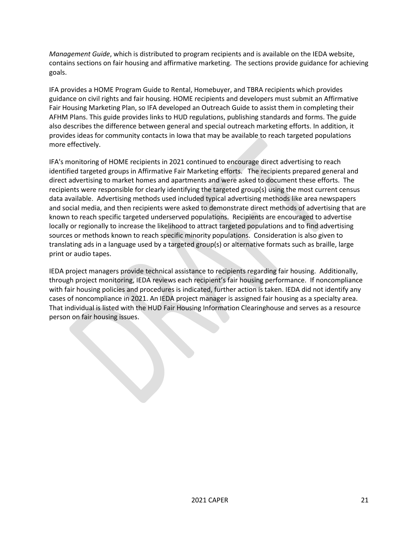*Management Guide*, which is distributed to program recipients and is available on the IEDA website, contains sections on fair housing and affirmative marketing.  The sections provide guidance for achieving goals.  

IFA provides a HOME Program Guide to Rental, Homebuyer, and TBRA recipients which provides guidance on civil rights and fair housing. HOME recipients and developers must submit an Affirmative Fair Housing Marketing Plan, so IFA developed an Outreach Guide to assist them in completing their AFHM Plans. This guide provides links to HUD regulations, publishing standards and forms. The guide also describes the difference between general and special outreach marketing efforts. In addition, it provides ideas for community contacts in Iowa that may be available to reach targeted populations more effectively. 

IFA's monitoring of HOME recipients in 2021 continued to encourage direct advertising to reach identified targeted groups in Affirmative Fair Marketing efforts.   The recipients prepared general and direct advertising to market homes and apartments and were asked to document these efforts.  The recipients were responsible for clearly identifying the targeted group(s) using the most current census data available.  Advertising methods used included typical advertising methods like area newspapers and social media, and then recipients were asked to demonstrate direct methods of advertising that are known to reach specific targeted underserved populations.  Recipients are encouraged to advertise locally or regionally to increase the likelihood to attract targeted populations and to find advertising sources or methods known to reach specific minority populations.  Consideration is also given to translating ads in a language used by a targeted group(s) or alternative formats such as braille, large print or audio tapes.  

IEDA project managers provide technical assistance to recipients regarding fair housing.  Additionally, through project monitoring, IEDA reviews each recipient's fair housing performance.  If noncompliance with fair housing policies and procedures is indicated, further action is taken. IEDA did not identify any cases of noncompliance in 2021. An IEDA project manager is assigned fair housing as a specialty area.  That individual is listed with the HUD Fair Housing Information Clearinghouse and serves as a resource person on fair housing issues.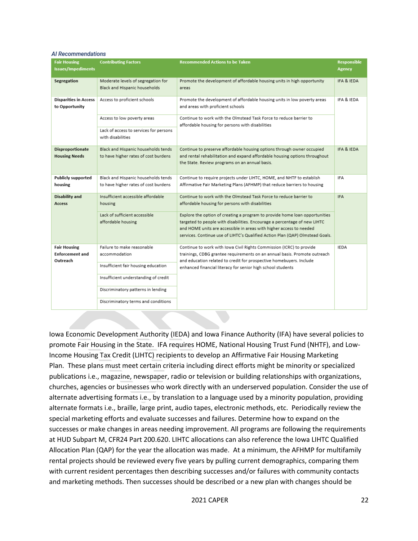#### **Al Recommendations**

| <b>Fair Housing</b>          | <b>Contributing Factors</b>            | <b>Recommended Actions to be Taken</b>                                        | <b>Responsible</b> |
|------------------------------|----------------------------------------|-------------------------------------------------------------------------------|--------------------|
| Issues/Impediments           |                                        |                                                                               | <b>Agency</b>      |
|                              |                                        |                                                                               |                    |
| Segregation                  | Moderate levels of segregation for     | Promote the development of affordable housing units in high opportunity       | IFA & IEDA         |
|                              | Black and Hispanic households          | areas                                                                         |                    |
| <b>Disparities in Access</b> | Access to proficient schools           | Promote the development of affordable housing units in low poverty areas      | IFA & IEDA         |
| to Opportunity               |                                        | and areas with proficient schools                                             |                    |
|                              |                                        |                                                                               |                    |
|                              | Access to low poverty areas            | Continue to work with the Olmstead Task Force to reduce barrier to            |                    |
|                              | Lack of access to services for persons | affordable housing for persons with disabilities                              |                    |
|                              | with disabilities                      |                                                                               |                    |
|                              |                                        |                                                                               |                    |
| Disproportionate             | Black and Hispanic households tends    | Continue to preserve affordable housing options through owner occupied        | IFA & IEDA         |
| <b>Housing Needs</b>         | to have higher rates of cost burdens   | and rental rehabilitation and expand affordable housing options throughout    |                    |
|                              |                                        | the State. Review programs on an annual basis.                                |                    |
|                              |                                        |                                                                               |                    |
| <b>Publicly supported</b>    | Black and Hispanic households tends    | Continue to require projects under LIHTC, HOME, and NHTF to establish         | IFA                |
| housing                      | to have higher rates of cost burdens   | Affirmative Fair Marketing Plans (AFHMP) that reduce barriers to housing      |                    |
| Disability and               | Insufficient accessible affordable     | Continue to work with the Olmstead Task Force to reduce barrier to            | <b>IFA</b>         |
| Access                       | housing                                | affordable housing for persons with disabilities                              |                    |
|                              |                                        |                                                                               |                    |
|                              | Lack of sufficient accessible          | Explore the option of creating a program to provide home loan opportunities   |                    |
|                              | affordable housing                     | targeted to people with disabilities. Encourage a percentage of new LIHTC     |                    |
|                              |                                        | and HOME units are accessible in areas with higher access to needed           |                    |
|                              |                                        | services. Continue use of LIHTC's Qualified Action Plan (QAP) Olmstead Goals. |                    |
| <b>Fair Housing</b>          | Failure to make reasonable             | Continue to work with Iowa Civil Rights Commission (ICRC) to provide          | <b>IEDA</b>        |
| Enforcement and              | accommodation                          | trainings, CDBG grantee requirements on an annual basis. Promote outreach     |                    |
| Outreach                     |                                        | and education related to credit for prospective homebuyers. Include           |                    |
|                              | Insufficient fair housing education    | enhanced financial literacy for senior high school students                   |                    |
|                              |                                        |                                                                               |                    |
|                              | Insufficient understanding of credit   |                                                                               |                    |
|                              | Discriminatory patterns in lending     |                                                                               |                    |
|                              |                                        |                                                                               |                    |
|                              | Discriminatory terms and conditions    |                                                                               |                    |
|                              |                                        |                                                                               |                    |

Iowa Economic Development Authority (IEDA) and Iowa Finance Authority (IFA) have several policies to promote Fair Housing in the State. IFA requires HOME, National Housing Trust Fund (NHTF), and Low-Income Housing Tax Credit (LIHTC) recipients to develop an Affirmative Fair Housing Marketing Plan. These plans must meet certain criteria including direct efforts might be minority or specialized publications i.e., magazine, newspaper, radio or television or building relationships with organizations, churches, agencies or businesses who work directly with an underserved population. Consider the use of alternate advertising formats i.e., by translation to a language used by a minority population, providing alternate formats i.e., braille, large print, audio tapes, electronic methods, etc. Periodically review the special marketing efforts and evaluate successes and failures. Determine how to expand on the successes or make changes in areas needing improvement. All programs are following the requirements at HUD Subpart M, CFR24 Part 200.620. LIHTC allocations can also reference the Iowa LIHTC Qualified Allocation Plan (QAP) for the year the allocation was made. At a minimum, the AFHMP for multifamily rental projects should be reviewed every five years by pulling current demographics, comparing them with current resident percentages then describing successes and/or failures with community contacts and marketing methods. Then successes should be described or a new plan with changes should be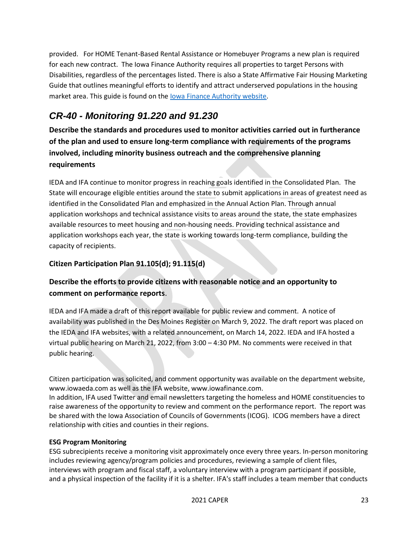provided. For HOME Tenant-Based Rental Assistance or Homebuyer Programs a new plan is required for each new contract. The Iowa Finance Authority requires all properties to target Persons with Disabilities, regardless of the percentages listed. There is also a State Affirmative Fair Housing Marketing Guide that outlines meaningful efforts to identify and attract underserved populations in the housing market area. This guide is found on the [Iowa Finance Authority website.](https://www.iowafinance.com/content/uploads/2021/01/Affirmative-Fair-Housing-Marketing-Plan-Guide.pdf)

# <span id="page-22-0"></span>*CR-40 - Monitoring 91.220 and 91.230*

**Describe the standards and procedures used to monitor activities carried out in furtherance of the plan and used to ensure long-term compliance with requirements of the programs involved, including minority business outreach and the comprehensive planning requirements**

IEDA and IFA continue to monitor progress in reaching goals identified in the Consolidated Plan. The State will encourage eligible entities around the state to submit applications in areas of greatest need as identified in the Consolidated Plan and emphasized in the Annual Action Plan. Through annual application workshops and technical assistance visits to areas around the state, the state emphasizes available resources to meet housing and non-housing needs. Providing technical assistance and application workshops each year, the state is working towards long-term compliance, building the capacity of recipients.

## **Citizen Participation Plan 91.105(d); 91.115(d)**

## **Describe the efforts to provide citizens with reasonable notice and an opportunity to comment on performance reports**.

IEDA and IFA made a draft of this report available for public review and comment. A notice of availability was published in the Des Moines Register on March 9, 2022. The draft report was placed on the IEDA and IFA websites, with a related announcement, on March 14, 2022. IEDA and IFA hosted a virtual public hearing on March 21, 2022, from 3:00 – 4:30 PM. No comments were received in that public hearing.

Citizen participation was solicited, and comment opportunity was available on the department website, www.iowaeda.com as well as the IFA website, www.iowafinance.com.

In addition, IFA used Twitter and email newsletters targeting the homeless and HOME constituencies to raise awareness of the opportunity to review and comment on the performance report.  The report was be shared with the Iowa Association of Councils of Governments (ICOG).  ICOG members have a direct relationship with cities and counties in their regions. 

#### **ESG Program Monitoring**

ESG subrecipients receive a monitoring visit approximately once every three years. In-person monitoring includes reviewing agency/program policies and procedures, reviewing a sample of client files, interviews with program and fiscal staff, a voluntary interview with a program participant if possible, and a physical inspection of the facility if it is a shelter. IFA's staff includes a team member that conducts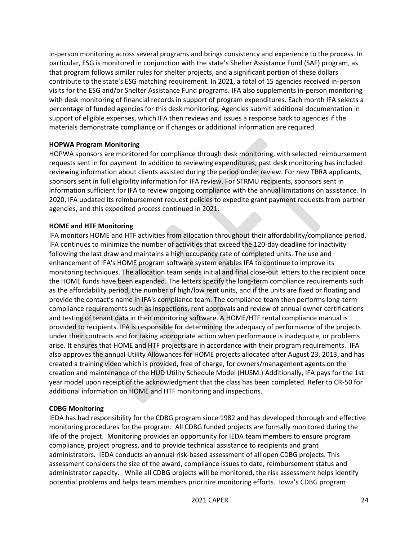in-person monitoring across several programs and brings consistency and experience to the process. In particular, ESG is monitored in conjunction with the state's Shelter Assistance Fund (SAF) program, as that program follows similar rules for shelter projects, and a significant portion of these dollars contribute to the state's ESG matching requirement. In 2021, a total of 15 agencies received in-person visits for the ESG and/or Shelter Assistance Fund programs. IFA also supplements in-person monitoring with desk monitoring of financial records in support of program expenditures. Each month IFA selects a percentage of funded agencies for this desk monitoring. Agencies submit additional documentation in support of eligible expenses, which IFA then reviews and issues a response back to agencies if the materials demonstrate compliance or if changes or additional information are required.

#### **HOPWA Program Monitoring**

HOPWA sponsors are monitored for compliance through desk monitoring, with selected reimbursement requests sent in for payment. In addition to reviewing expenditures, past desk monitoring has included reviewing information about clients assisted during the period under review. For new TBRA applicants, sponsors sent in full eligibility information for IFA review. For STRMU recipients, sponsors sent in information sufficient for IFA to review ongoing compliance with the annual limitations on assistance. In 2020, IFA updated its reimbursement request policies to expedite grant payment requests from partner agencies, and this expedited process continued in 2021.

#### **HOME and HTF Monitoring**

IFA monitors HOME and HTF activities from allocation throughout their affordability/compliance period. IFA continues to minimize the number of activities that exceed the 120-day deadline for inactivity following the last draw and maintains a high occupancy rate of completed units. The use and enhancement of IFA's HOME program software system enables IFA to continue to improve its monitoring techniques. The allocation team sends initial and final close-out letters to the recipient once the HOME funds have been expended. The letters specify the long-term compliance requirements such as the affordability period, the number of high/low rent units, and if the units are fixed or floating and provide the contact's name in IFA's compliance team. The compliance team then performs long-term compliance requirements such as inspections, rent approvals and review of annual owner certifications and testing of tenant data in their monitoring software. A HOME/HTF rental compliance manual is provided to recipients. IFA is responsible for determining the adequacy of performance of the projects under their contracts and for taking appropriate action when performance is inadequate, or problems arise. It ensures that HOME and HTF projects are in accordance with their program requirements. IFA also approves the annual Utility Allowances for HOME projects allocated after August 23, 2013, and has created a training video which is provided, free of charge, for owners/management agents on the creation and maintenance of the HUD Utility Schedule Model (HUSM.) Additionally, IFA pays for the 1st year model upon receipt of the acknowledgment that the class has been completed. Refer to CR-50 for additional information on HOME and HTF monitoring and inspections.

#### **CDBG Monitoring**

IEDA has had responsibility for the CDBG program since 1982 and has developed thorough and effective monitoring procedures for the program. All CDBG funded projects are formally monitored during the life of the project. Monitoring provides an opportunity for IEDA team members to ensure program compliance, project progress, and to provide technical assistance to recipients and grant administrators. IEDA conducts an annual risk-based assessment of all open CDBG projects. This assessment considers the size of the award, compliance issues to date, reimbursement status and administrator capacity. While all CDBG projects will be monitored, the risk assessment helps identify potential problems and helps team members prioritize monitoring efforts. Iowa's CDBG program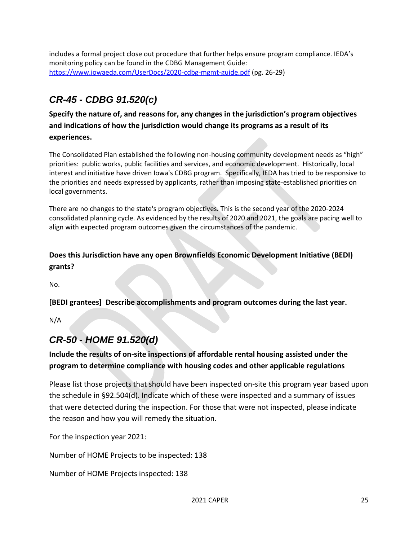includes a formal project close out procedure that further helps ensure program compliance. IEDA's monitoring policy can be found in the CDBG Management Guide: <https://www.iowaeda.com/UserDocs/2020-cdbg-mgmt-guide.pdf> (pg. 26-29)

# <span id="page-24-0"></span>*CR-45 - CDBG 91.520(c)*

**Specify the nature of, and reasons for, any changes in the jurisdiction's program objectives and indications of how the jurisdiction would change its programs as a result of its experiences.**

The Consolidated Plan established the following non-housing community development needs as "high" priorities:  public works, public facilities and services, and economic development.  Historically, local interest and initiative have driven Iowa's CDBG program.  Specifically, IEDA has tried to be responsive to the priorities and needs expressed by applicants, rather than imposing state-established priorities on local governments.

There are no changes to the state's program objectives. This is the second year of the 2020-2024 consolidated planning cycle. As evidenced by the results of 2020 and 2021, the goals are pacing well to align with expected program outcomes given the circumstances of the pandemic. 

## **Does this Jurisdiction have any open Brownfields Economic Development Initiative (BEDI) grants?**

No.

**[BEDI grantees] Describe accomplishments and program outcomes during the last year.**

N/A

## <span id="page-24-1"></span>*CR-50 - HOME 91.520(d)*

## **Include the results of on-site inspections of affordable rental housing assisted under the program to determine compliance with housing codes and other applicable regulations**

Please list those projects that should have been inspected on-site this program year based upon the schedule in §92.504(d). Indicate which of these were inspected and a summary of issues that were detected during the inspection. For those that were not inspected, please indicate the reason and how you will remedy the situation.

For the inspection year 2021:

Number of HOME Projects to be inspected: 138

Number of HOME Projects inspected: 138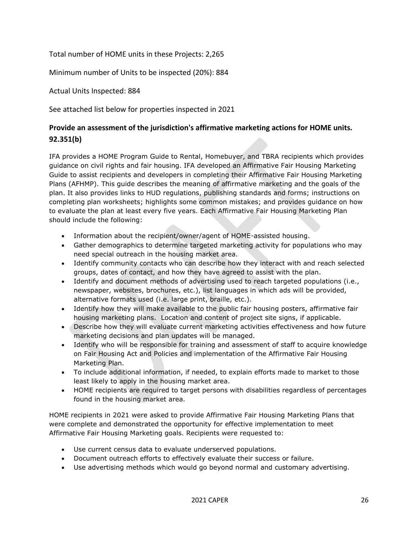Total number of HOME units in these Projects: 2,265

Minimum number of Units to be inspected (20%): 884

Actual Units Inspected: 884

See attached list below for properties inspected in 2021

## **Provide an assessment of the jurisdiction's affirmative marketing actions for HOME units. 92.351(b)**

IFA provides a HOME Program Guide to Rental, Homebuyer, and TBRA recipients which provides guidance on civil rights and fair housing. IFA developed an Affirmative Fair Housing Marketing Guide to assist recipients and developers in completing their Affirmative Fair Housing Marketing Plans (AFHMP). This guide describes the meaning of affirmative marketing and the goals of the plan. It also provides links to HUD regulations, publishing standards and forms; instructions on completing plan worksheets; highlights some common mistakes; and provides guidance on how to evaluate the plan at least every five years. Each Affirmative Fair Housing Marketing Plan should include the following:

- Information about the recipient/owner/agent of HOME-assisted housing.
- Gather demographics to determine targeted marketing activity for populations who may need special outreach in the housing market area.
- Identify community contacts who can describe how they interact with and reach selected groups, dates of contact, and how they have agreed to assist with the plan.
- Identify and document methods of advertising used to reach targeted populations (i.e., newspaper, websites, brochures, etc.), list languages in which ads will be provided, alternative formats used (i.e. large print, braille, etc.).
- Identify how they will make available to the public fair housing posters, affirmative fair housing marketing plans. Location and content of project site signs, if applicable.
- Describe how they will evaluate current marketing activities effectiveness and how future marketing decisions and plan updates will be managed.
- Identify who will be responsible for training and assessment of staff to acquire knowledge on Fair Housing Act and Policies and implementation of the Affirmative Fair Housing Marketing Plan.
- To include additional information, if needed, to explain efforts made to market to those least likely to apply in the housing market area.
- HOME recipients are required to target persons with disabilities regardless of percentages found in the housing market area.

HOME recipients in 2021 were asked to provide Affirmative Fair Housing Marketing Plans that were complete and demonstrated the opportunity for effective implementation to meet Affirmative Fair Housing Marketing goals. Recipients were requested to:

- Use current census data to evaluate underserved populations.
- Document outreach efforts to effectively evaluate their success or failure.
- Use advertising methods which would go beyond normal and customary advertising.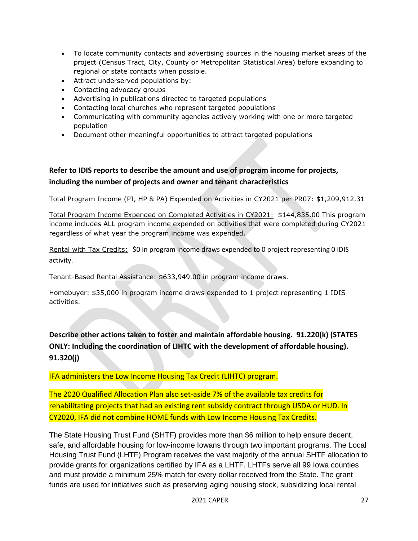- To locate community contacts and advertising sources in the housing market areas of the project (Census Tract, City, County or Metropolitan Statistical Area) before expanding to regional or state contacts when possible.
- Attract underserved populations by:
- Contacting advocacy groups
- Advertising in publications directed to targeted populations
- Contacting local churches who represent targeted populations
- Communicating with community agencies actively working with one or more targeted population
- Document other meaningful opportunities to attract targeted populations

## **Refer to IDIS reports to describe the amount and use of program income for projects, including the number of projects and owner and tenant characteristics**

Total Program Income (PI, HP & PA) Expended on Activities in CY2021 per PR07: \$1,209,912.31

Total Program Income Expended on Completed Activities in CY2021: \$144,835.00 This program income includes ALL program income expended on activities that were completed during CY2021 regardless of what year the program income was expended.

Rental with Tax Credits: \$0 in program income draws expended to 0 project representing 0 IDIS activity.

Tenant-Based Rental Assistance: \$633,949.00 in program income draws.

Homebuyer: \$35,000 in program income draws expended to 1 project representing 1 IDIS activities.

**Describe other actions taken to foster and maintain affordable housing. 91.220(k) (STATES ONLY: Including the coordination of LIHTC with the development of affordable housing). 91.320(j)**

IFA administers the Low Income Housing Tax Credit (LIHTC) program.

The 2020 Qualified Allocation Plan also set-aside 7% of the available tax credits for rehabilitating projects that had an existing rent subsidy contract through USDA or HUD. In CY2020, IFA did not combine HOME funds with Low Income Housing Tax Credits.

The State Housing Trust Fund (SHTF) provides more than \$6 million to help ensure decent, safe, and affordable housing for low-income Iowans through two important programs. The Local Housing Trust Fund (LHTF) Program receives the vast majority of the annual SHTF allocation to provide grants for organizations certified by IFA as a LHTF. LHTFs serve all 99 Iowa counties and must provide a minimum 25% match for every dollar received from the State. The grant funds are used for initiatives such as preserving aging housing stock, subsidizing local rental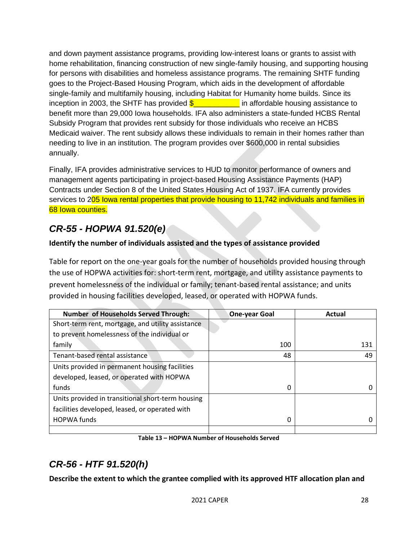and down payment assistance programs, providing low-interest loans or grants to assist with home rehabilitation, financing construction of new single-family housing, and supporting housing for persons with disabilities and homeless assistance programs. The remaining SHTF funding goes to the Project-Based Housing Program, which aids in the development of affordable single-family and multifamily housing, including Habitat for Humanity home builds. Since its inception in 2003, the SHTF has provided  $\frac{20}{3}$  in affordable housing assistance to benefit more than 29,000 Iowa households. IFA also administers a state-funded HCBS Rental Subsidy Program that provides rent subsidy for those individuals who receive an HCBS Medicaid waiver. The rent subsidy allows these individuals to remain in their homes rather than needing to live in an institution. The program provides over \$600,000 in rental subsidies annually.

Finally, IFA provides administrative services to HUD to monitor performance of owners and management agents participating in project-based Housing Assistance Payments (HAP) Contracts under Section 8 of the United States Housing Act of 1937. IFA currently provides services to 205 lowa rental properties that provide housing to 11,742 individuals and families in 68 Iowa counties.

# <span id="page-27-0"></span>*CR-55 - HOPWA 91.520(e)*

## **Identify the number of individuals assisted and the types of assistance provided**

Table for report on the one-year goals for the number of households provided housing through the use of HOPWA activities for: short-term rent, mortgage, and utility assistance payments to prevent homelessness of the individual or family; tenant-based rental assistance; and units provided in housing facilities developed, leased, or operated with HOPWA funds.

| <b>Number of Households Served Through:</b>       | <b>One-year Goal</b> | Actual |
|---------------------------------------------------|----------------------|--------|
| Short-term rent, mortgage, and utility assistance |                      |        |
| to prevent homelessness of the individual or      |                      |        |
| family                                            | 100                  | 131    |
| Tenant-based rental assistance                    | 48                   | 49     |
| Units provided in permanent housing facilities    |                      |        |
| developed, leased, or operated with HOPWA         |                      |        |
| funds                                             | 0                    | 0      |
| Units provided in transitional short-term housing |                      |        |
| facilities developed, leased, or operated with    |                      |        |
| <b>HOPWA</b> funds                                | 0                    |        |
|                                                   |                      |        |

**Table 13 – HOPWA Number of Households Served**

# <span id="page-27-1"></span>*CR-56 - HTF 91.520(h)*

**Describe the extent to which the grantee complied with its approved HTF allocation plan and**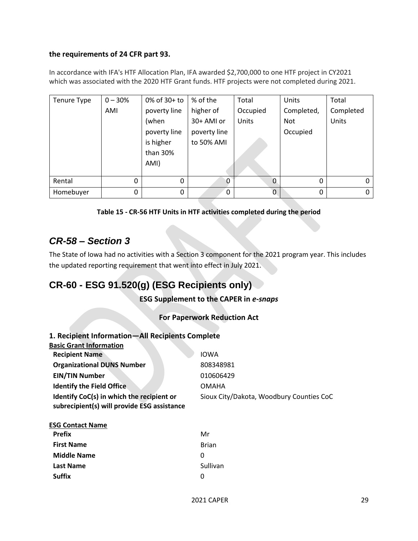#### **the requirements of 24 CFR part 93.**

In accordance with IFA's HTF Allocation Plan, IFA awarded \$2,700,000 to one HTF project in CY2021 which was associated with the 2020 HTF Grant funds. HTF projects were not completed during 2021.

| Tenure Type | $0 - 30%$ | 0% of 30+ to | % of the     | Total       | Units      | Total     |
|-------------|-----------|--------------|--------------|-------------|------------|-----------|
|             | AMI       | poverty line | higher of    | Occupied    | Completed, | Completed |
|             |           | (when        | 30+ AMI or   | Units       | Not        | Units     |
|             |           | poverty line | poverty line |             | Occupied   |           |
|             |           | is higher    | to 50% AMI   |             |            |           |
|             |           | than 30%     |              |             |            |           |
|             |           | AMI)         |              |             |            |           |
|             |           |              |              |             |            |           |
| Rental      | 0         | 0            |              | $\mathbf 0$ | 0          | 0         |
| Homebuyer   | 0         | 0            | 0            | 0           | $\Omega$   | $\Omega$  |



## <span id="page-28-0"></span>*CR-58 – Section 3*

The State of Iowa had no activities with a Section 3 component for the 2021 program year. This includes the updated reporting requirement that went into effect in July 2021.

## <span id="page-28-1"></span>**CR-60 - ESG 91.520(g) (ESG Recipients only)**

**ESG Supplement to the CAPER in** *e-snaps*

## **For Paperwork Reduction Act**

| 1. Recipient Information-All Recipients Complete                                         |                                          |
|------------------------------------------------------------------------------------------|------------------------------------------|
| <b>Basic Grant Information</b>                                                           |                                          |
| <b>Recipient Name</b>                                                                    | <b>IOWA</b>                              |
| <b>Organizational DUNS Number</b>                                                        | 808348981                                |
| <b>EIN/TIN Number</b>                                                                    | 010606429                                |
| <b>Identify the Field Office</b>                                                         | <b>OMAHA</b>                             |
| Identify CoC(s) in which the recipient or<br>subrecipient(s) will provide ESG assistance | Sioux City/Dakota, Woodbury Counties CoC |

| <b>ESG Contact Name</b> |  |
|-------------------------|--|
| Drafiv                  |  |

| <b>Prefix</b>      | Mr           |
|--------------------|--------------|
| <b>First Name</b>  | <b>Brian</b> |
| <b>Middle Name</b> | O            |
| <b>Last Name</b>   | Sullivan     |
| Suffix             | O            |
|                    |              |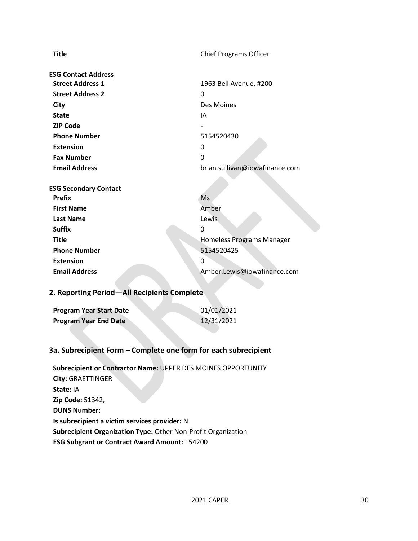**Title** Chief Programs Officer

| <b>ESG Contact Address</b> |                                |
|----------------------------|--------------------------------|
| <b>Street Address 1</b>    | 1963 Bell Avenue, #200         |
| <b>Street Address 2</b>    | 0                              |
| City                       | Des Moines                     |
| <b>State</b>               | ΙA                             |
| <b>ZIP Code</b>            |                                |
| <b>Phone Number</b>        | 5154520430                     |
| <b>Extension</b>           | 0                              |
| <b>Fax Number</b>          | 0                              |
| <b>Email Address</b>       | brian.sullivan@iowafinance.com |
|                            |                                |

| <b>ESG Secondary Contact</b> |                                  |
|------------------------------|----------------------------------|
| <b>Prefix</b>                | Ms                               |
| <b>First Name</b>            | Amber                            |
| <b>Last Name</b>             | Lewis                            |
| <b>Suffix</b>                | 0                                |
| <b>Title</b>                 | <b>Homeless Programs Manager</b> |
| <b>Phone Number</b>          | 5154520425                       |
| <b>Extension</b>             | 0                                |
| <b>Email Address</b>         | Amber.Lewis@iowafinance.com      |

## **2. Reporting Period—All Recipients Complete**

| <b>Program Year Start Date</b> | 01/01/2021 |
|--------------------------------|------------|
| <b>Program Year End Date</b>   | 12/31/2021 |

#### **3a. Subrecipient Form – Complete one form for each subrecipient**

**Subrecipient or Contractor Name:** UPPER DES MOINES OPPORTUNITY **City:** GRAETTINGER **State:** IA **Zip Code:** 51342, **DUNS Number: Is subrecipient a victim services provider:** N **Subrecipient Organization Type:** Other Non-Profit Organization **ESG Subgrant or Contract Award Amount:** 154200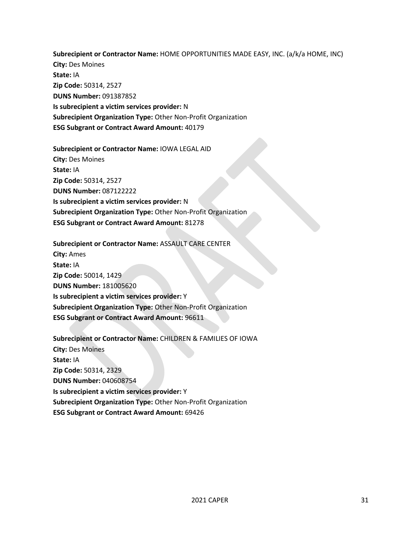**Subrecipient or Contractor Name:** HOME OPPORTUNITIES MADE EASY, INC. (a/k/a HOME, INC) **City:** Des Moines **State:** IA **Zip Code:** 50314, 2527 **DUNS Number:** 091387852 **Is subrecipient a victim services provider:** N **Subrecipient Organization Type:** Other Non-Profit Organization

**ESG Subgrant or Contract Award Amount:** 40179

**Subrecipient or Contractor Name:** IOWA LEGAL AID **City:** Des Moines **State:** IA **Zip Code:** 50314, 2527 **DUNS Number:** 087122222 **Is subrecipient a victim services provider:** N **Subrecipient Organization Type:** Other Non-Profit Organization **ESG Subgrant or Contract Award Amount:** 81278

**Subrecipient or Contractor Name:** ASSAULT CARE CENTER **City:** Ames **State:** IA **Zip Code:** 50014, 1429 **DUNS Number:** 181005620 **Is subrecipient a victim services provider:** Y **Subrecipient Organization Type:** Other Non-Profit Organization **ESG Subgrant or Contract Award Amount:** 96611

**Subrecipient or Contractor Name:** CHILDREN & FAMILIES OF IOWA **City:** Des Moines **State:** IA **Zip Code:** 50314, 2329 **DUNS Number:** 040608754 **Is subrecipient a victim services provider:** Y **Subrecipient Organization Type:** Other Non-Profit Organization **ESG Subgrant or Contract Award Amount:** 69426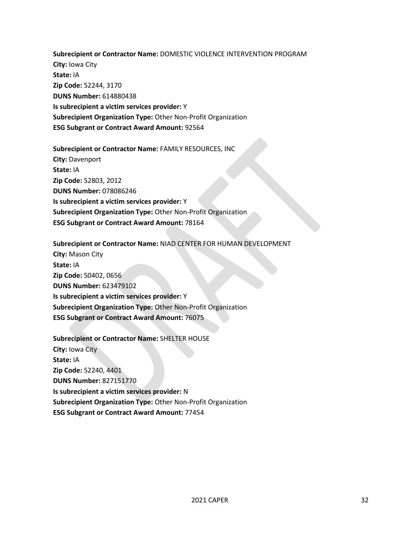**Subrecipient or Contractor Name:** DOMESTIC VIOLENCE INTERVENTION PROGRAM **City:** Iowa City **State:** IA **Zip Code:** 52244, 3170 **DUNS Number:** 614880438 **Is subrecipient a victim services provider:** Y **Subrecipient Organization Type:** Other Non-Profit Organization **ESG Subgrant or Contract Award Amount:** 92564

**Subrecipient or Contractor Name:** FAMILY RESOURCES, INC **City:** Davenport **State:** IA **Zip Code:** 52803, 2012 **DUNS Number:** 078086246 **Is subrecipient a victim services provider:** Y **Subrecipient Organization Type:** Other Non-Profit Organization **ESG Subgrant or Contract Award Amount:** 78164

**Subrecipient or Contractor Name:** NIAD CENTER FOR HUMAN DEVELOPMENT **City:** Mason City **State:** IA **Zip Code:** 50402, 0656 **DUNS Number:** 623479102 **Is subrecipient a victim services provider:** Y **Subrecipient Organization Type:** Other Non-Profit Organization **ESG Subgrant or Contract Award Amount:** 76075

**Subrecipient or Contractor Name:** SHELTER HOUSE **City:** Iowa City **State:** IA **Zip Code:** 52240, 4401 **DUNS Number:** 827151770 **Is subrecipient a victim services provider:** N **Subrecipient Organization Type:** Other Non-Profit Organization **ESG Subgrant or Contract Award Amount:** 77454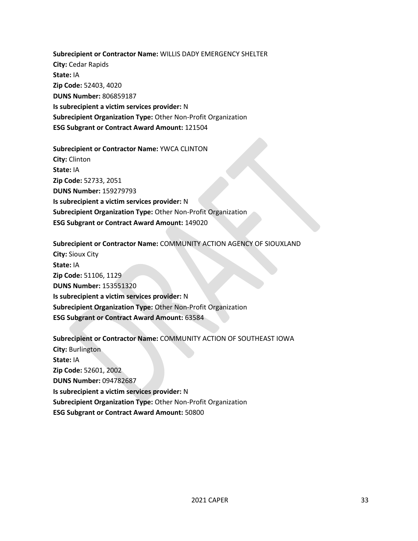**Subrecipient or Contractor Name:** WILLIS DADY EMERGENCY SHELTER **City:** Cedar Rapids **State:** IA **Zip Code:** 52403, 4020 **DUNS Number:** 806859187 **Is subrecipient a victim services provider:** N **Subrecipient Organization Type:** Other Non-Profit Organization **ESG Subgrant or Contract Award Amount:** 121504

**Subrecipient or Contractor Name:** YWCA CLINTON **City:** Clinton **State:** IA **Zip Code:** 52733, 2051 **DUNS Number:** 159279793 **Is subrecipient a victim services provider:** N **Subrecipient Organization Type:** Other Non-Profit Organization **ESG Subgrant or Contract Award Amount:** 149020

**Subrecipient or Contractor Name:** COMMUNITY ACTION AGENCY OF SIOUXLAND **City:** Sioux City **State:** IA **Zip Code:** 51106, 1129 **DUNS Number:** 153551320 **Is subrecipient a victim services provider:** N **Subrecipient Organization Type:** Other Non-Profit Organization **ESG Subgrant or Contract Award Amount:** 63584

**Subrecipient or Contractor Name:** COMMUNITY ACTION OF SOUTHEAST IOWA **City:** Burlington **State:** IA **Zip Code:** 52601, 2002 **DUNS Number:** 094782687 **Is subrecipient a victim services provider:** N **Subrecipient Organization Type:** Other Non-Profit Organization **ESG Subgrant or Contract Award Amount:** 50800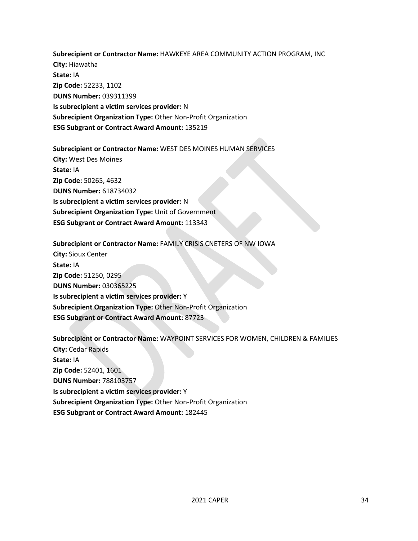**Subrecipient or Contractor Name:** HAWKEYE AREA COMMUNITY ACTION PROGRAM, INC **City:** Hiawatha **State:** IA **Zip Code:** 52233, 1102 **DUNS Number:** 039311399 **Is subrecipient a victim services provider:** N **Subrecipient Organization Type:** Other Non-Profit Organization **ESG Subgrant or Contract Award Amount:** 135219

**Subrecipient or Contractor Name:** WEST DES MOINES HUMAN SERVICES **City:** West Des Moines **State:** IA **Zip Code:** 50265, 4632 **DUNS Number:** 618734032 **Is subrecipient a victim services provider:** N **Subrecipient Organization Type:** Unit of Government **ESG Subgrant or Contract Award Amount:** 113343

**Subrecipient or Contractor Name:** FAMILY CRISIS CNETERS OF NW IOWA **City:** Sioux Center **State:** IA **Zip Code:** 51250, 0295 **DUNS Number:** 030365225 **Is subrecipient a victim services provider:** Y **Subrecipient Organization Type:** Other Non-Profit Organization **ESG Subgrant or Contract Award Amount:** 87723

**Subrecipient or Contractor Name:** WAYPOINT SERVICES FOR WOMEN, CHILDREN & FAMILIES **City:** Cedar Rapids **State:** IA **Zip Code:** 52401, 1601 **DUNS Number:** 788103757 **Is subrecipient a victim services provider:** Y **Subrecipient Organization Type:** Other Non-Profit Organization **ESG Subgrant or Contract Award Amount:** 182445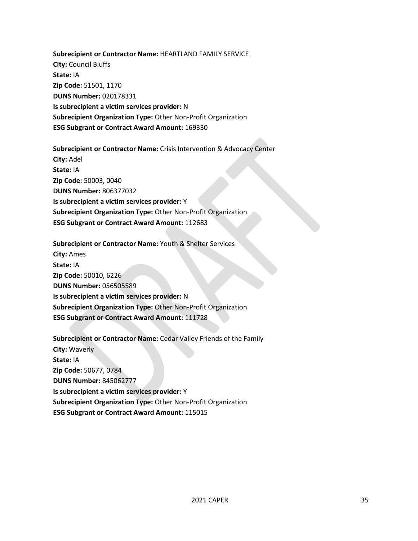**Subrecipient or Contractor Name:** HEARTLAND FAMILY SERVICE **City:** Council Bluffs **State:** IA **Zip Code:** 51501, 1170 **DUNS Number:** 020178331 **Is subrecipient a victim services provider:** N **Subrecipient Organization Type:** Other Non-Profit Organization **ESG Subgrant or Contract Award Amount:** 169330

**Subrecipient or Contractor Name:** Crisis Intervention & Advocacy Center **City:** Adel **State:** IA **Zip Code:** 50003, 0040 **DUNS Number:** 806377032 **Is subrecipient a victim services provider:** Y **Subrecipient Organization Type:** Other Non-Profit Organization **ESG Subgrant or Contract Award Amount:** 112683

**Subrecipient or Contractor Name:** Youth & Shelter Services **City:** Ames **State:** IA **Zip Code:** 50010, 6226 **DUNS Number:** 056505589 **Is subrecipient a victim services provider:** N **Subrecipient Organization Type:** Other Non-Profit Organization **ESG Subgrant or Contract Award Amount:** 111728

**Subrecipient or Contractor Name:** Cedar Valley Friends of the Family **City:** Waverly **State:** IA **Zip Code:** 50677, 0784 **DUNS Number:** 845062777 **Is subrecipient a victim services provider:** Y **Subrecipient Organization Type:** Other Non-Profit Organization **ESG Subgrant or Contract Award Amount:** 115015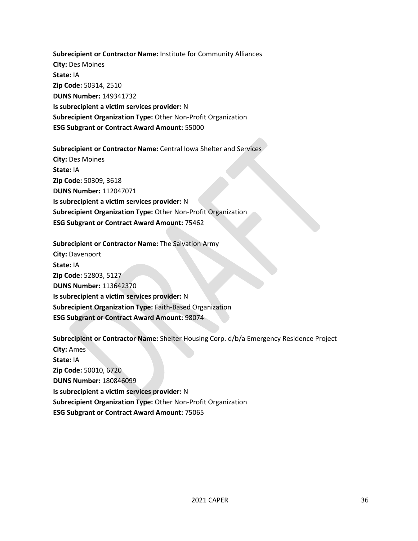**Subrecipient or Contractor Name:** Institute for Community Alliances **City:** Des Moines **State:** IA **Zip Code:** 50314, 2510 **DUNS Number:** 149341732 **Is subrecipient a victim services provider:** N **Subrecipient Organization Type:** Other Non-Profit Organization **ESG Subgrant or Contract Award Amount:** 55000

**Subrecipient or Contractor Name:** Central Iowa Shelter and Services **City:** Des Moines **State:** IA **Zip Code:** 50309, 3618 **DUNS Number:** 112047071 **Is subrecipient a victim services provider:** N **Subrecipient Organization Type:** Other Non-Profit Organization **ESG Subgrant or Contract Award Amount:** 75462

**Subrecipient or Contractor Name:** The Salvation Army **City:** Davenport **State:** IA **Zip Code:** 52803, 5127 **DUNS Number:** 113642370 **Is subrecipient a victim services provider:** N **Subrecipient Organization Type:** Faith-Based Organization **ESG Subgrant or Contract Award Amount:** 98074

**Subrecipient or Contractor Name:** Shelter Housing Corp. d/b/a Emergency Residence Project **City:** Ames **State:** IA **Zip Code:** 50010, 6720 **DUNS Number:** 180846099 **Is subrecipient a victim services provider:** N **Subrecipient Organization Type:** Other Non-Profit Organization **ESG Subgrant or Contract Award Amount:** 75065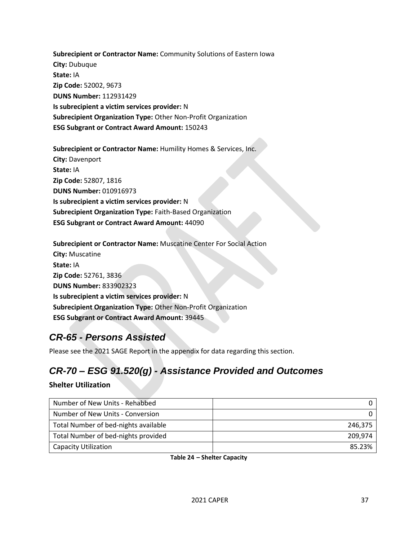**Subrecipient or Contractor Name:** Community Solutions of Eastern Iowa **City:** Dubuque **State:** IA **Zip Code:** 52002, 9673 **DUNS Number:** 112931429 **Is subrecipient a victim services provider:** N **Subrecipient Organization Type:** Other Non-Profit Organization **ESG Subgrant or Contract Award Amount:** 150243

**Subrecipient or Contractor Name:** Humility Homes & Services, Inc. **City:** Davenport **State:** IA **Zip Code:** 52807, 1816 **DUNS Number:** 010916973 **Is subrecipient a victim services provider:** N **Subrecipient Organization Type:** Faith-Based Organization **ESG Subgrant or Contract Award Amount:** 44090

**Subrecipient or Contractor Name:** Muscatine Center For Social Action **City:** Muscatine **State:** IA **Zip Code:** 52761, 3836 **DUNS Number:** 833902323 **Is subrecipient a victim services provider:** N **Subrecipient Organization Type:** Other Non-Profit Organization **ESG Subgrant or Contract Award Amount:** 39445

## <span id="page-36-0"></span>*CR-65 - Persons Assisted*

Please see the 2021 SAGE Report in the appendix for data regarding this section.

# <span id="page-36-1"></span>*CR-70 – ESG 91.520(g) - Assistance Provided and Outcomes*

#### **Shelter Utilization**

| Number of New Units - Rehabbed       |         |
|--------------------------------------|---------|
| Number of New Units - Conversion     |         |
| Total Number of bed-nights available | 246.375 |
| Total Number of bed-nights provided  | 209.974 |
| <b>Capacity Utilization</b>          | 85.23%  |

**Table 24 – Shelter Capacity**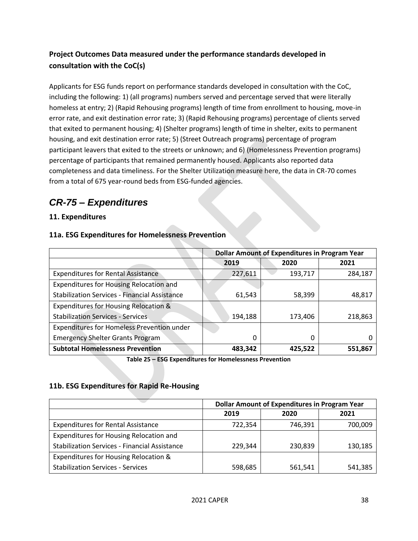## **Project Outcomes Data measured under the performance standards developed in consultation with the CoC(s)**

Applicants for ESG funds report on performance standards developed in consultation with the CoC, including the following: 1) (all programs) numbers served and percentage served that were literally homeless at entry; 2) (Rapid Rehousing programs) length of time from enrollment to housing, move-in error rate, and exit destination error rate; 3) (Rapid Rehousing programs) percentage of clients served that exited to permanent housing; 4) (Shelter programs) length of time in shelter, exits to permanent housing, and exit destination error rate; 5) (Street Outreach programs) percentage of program participant leavers that exited to the streets or unknown; and 6) (Homelessness Prevention programs) percentage of participants that remained permanently housed. Applicants also reported data completeness and data timeliness. For the Shelter Utilization measure here, the data in CR-70 comes from a total of 675 year-round beds from ESG-funded agencies.

## <span id="page-37-0"></span>*CR-75 – Expenditures*

## **11. Expenditures**

#### **11a. ESG Expenditures for Homelessness Prevention**

|                                                      | <b>Dollar Amount of Expenditures in Program Year</b> |         |         |
|------------------------------------------------------|------------------------------------------------------|---------|---------|
|                                                      | 2019                                                 | 2020    | 2021    |
| <b>Expenditures for Rental Assistance</b>            | 227,611                                              | 193,717 | 284,187 |
| <b>Expenditures for Housing Relocation and</b>       |                                                      |         |         |
| <b>Stabilization Services - Financial Assistance</b> | 61,543                                               | 58,399  | 48,817  |
| Expenditures for Housing Relocation &                |                                                      |         |         |
| <b>Stabilization Services - Services</b>             | 194,188                                              | 173,406 | 218,863 |
| Expenditures for Homeless Prevention under           |                                                      |         |         |
| <b>Emergency Shelter Grants Program</b>              | 0                                                    | 0       |         |
| <b>Subtotal Homelessness Prevention</b>              | 483,342                                              | 425,522 | 551,867 |

**Table 25 – ESG Expenditures for Homelessness Prevention**

## **11b. ESG Expenditures for Rapid Re-Housing**

|                                                      | <b>Dollar Amount of Expenditures in Program Year</b> |         |         |
|------------------------------------------------------|------------------------------------------------------|---------|---------|
|                                                      | 2019                                                 | 2020    | 2021    |
| <b>Expenditures for Rental Assistance</b>            | 722,354                                              | 746,391 | 700,009 |
| Expenditures for Housing Relocation and              |                                                      |         |         |
| <b>Stabilization Services - Financial Assistance</b> | 229.344                                              | 230,839 | 130,185 |
| Expenditures for Housing Relocation &                |                                                      |         |         |
| <b>Stabilization Services - Services</b>             | 598,685                                              | 561,541 | 541,385 |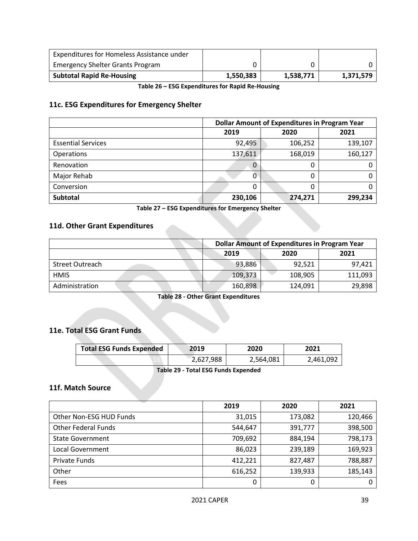| Expenditures for Homeless Assistance under |           |           |           |
|--------------------------------------------|-----------|-----------|-----------|
| <b>Emergency Shelter Grants Program</b>    |           |           |           |
| <b>Subtotal Rapid Re-Housing</b>           | 1,550,383 | 1,538,771 | 1,371,579 |

**Table 26 – ESG Expenditures for Rapid Re-Housing**

## **11c. ESG Expenditures for Emergency Shelter**

|                           | <b>Dollar Amount of Expenditures in Program Year</b> |         |         |
|---------------------------|------------------------------------------------------|---------|---------|
|                           | 2019                                                 | 2020    | 2021    |
| <b>Essential Services</b> | 92,495                                               | 106,252 | 139,107 |
| Operations                | 137,611                                              | 168,019 | 160,127 |
| Renovation                | U                                                    | 0       |         |
| Major Rehab               |                                                      | 0       |         |
| Conversion                | 0                                                    | 0       |         |
| <b>Subtotal</b>           | 230,106                                              | 274,271 | 299,234 |

**Table 27 – ESG Expenditures for Emergency Shelter**

#### **11d. Other Grant Expenditures**

|                        | <b>Dollar Amount of Expenditures in Program Year</b> |         |         |
|------------------------|------------------------------------------------------|---------|---------|
|                        | 2019                                                 | 2020    | 2021    |
| <b>Street Outreach</b> | 93,886                                               | 92,521  | 97,421  |
| <b>HMIS</b>            | 109,373                                              | 108,905 | 111,093 |
| Administration         | 160,898                                              | 124,091 | 29,898  |

**Table 28 - Other Grant Expenditures**

## **11e. Total ESG Grant Funds**

| <b>Total ESG Funds Expended</b> | 2019      | 2020      | 2021      |
|---------------------------------|-----------|-----------|-----------|
|                                 | 2,627,988 | 2,564,081 | 2,461,092 |
|                                 |           |           |           |

**Table 29 - Total ESG Funds Expended**

## **11f. Match Source**

|                            | 2019    | 2020    | 2021    |
|----------------------------|---------|---------|---------|
| Other Non-ESG HUD Funds    | 31,015  | 173,082 | 120,466 |
| <b>Other Federal Funds</b> | 544,647 | 391,777 | 398,500 |
| <b>State Government</b>    | 709,692 | 884,194 | 798,173 |
| <b>Local Government</b>    | 86,023  | 239,189 | 169,923 |
| <b>Private Funds</b>       | 412,221 | 827,487 | 788,887 |
| Other                      | 616,252 | 139,933 | 185,143 |
| Fees                       | 0       | 0       | 0       |